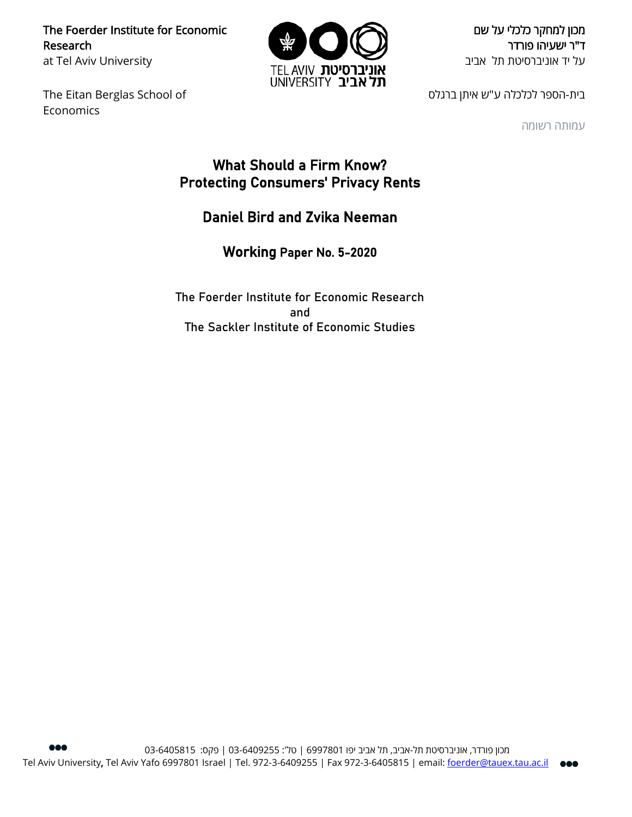The Foerder Institute for Economic Research at Tel Aviv University

The Eitan Berglas School of Economics



מכון למחקר כלכלי על שם ד"ר ישעיהו פורדר על יד אוניברסיטת תל אביב

בית-הספר לכלכלה ע"ש איתן ברגלס

עמותה רשומה

# What Should a Firm Know? Protecting Consumers' Privacy Rents

# Daniel Bird and Zvika Neeman

Working Paper No. 5-2020

The Foerder Institute for Economic Research and The Sackler Institute of Economic Studies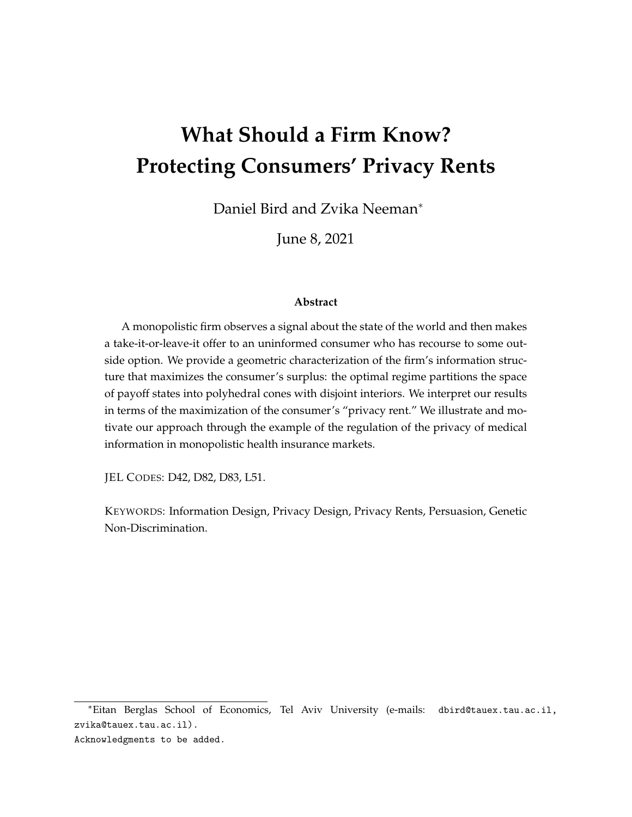# **What Should a Firm Know? Protecting Consumers' Privacy Rents**

Daniel Bird and Zvika Neeman<sup>∗</sup>

June 8, 2021

#### **Abstract**

A monopolistic firm observes a signal about the state of the world and then makes a take-it-or-leave-it offer to an uninformed consumer who has recourse to some outside option. We provide a geometric characterization of the firm's information structure that maximizes the consumer's surplus: the optimal regime partitions the space of payoff states into polyhedral cones with disjoint interiors. We interpret our results in terms of the maximization of the consumer's "privacy rent." We illustrate and motivate our approach through the example of the regulation of the privacy of medical information in monopolistic health insurance markets.

JEL CODES: D42, D82, D83, L51.

KEYWORDS: Information Design, Privacy Design, Privacy Rents, Persuasion, Genetic Non-Discrimination.

<sup>∗</sup>Eitan Berglas School of Economics, Tel Aviv University (e-mails: dbird@tauex.tau.ac.il, zvika@tauex.tau.ac.il).

Acknowledgments to be added.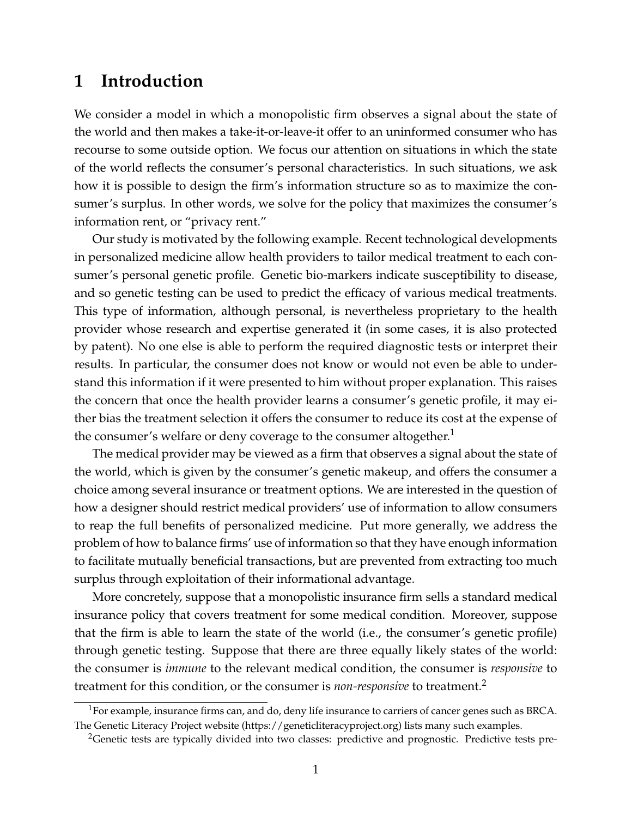# **1 Introduction**

We consider a model in which a monopolistic firm observes a signal about the state of the world and then makes a take-it-or-leave-it offer to an uninformed consumer who has recourse to some outside option. We focus our attention on situations in which the state of the world reflects the consumer's personal characteristics. In such situations, we ask how it is possible to design the firm's information structure so as to maximize the consumer's surplus. In other words, we solve for the policy that maximizes the consumer's information rent, or "privacy rent."

Our study is motivated by the following example. Recent technological developments in personalized medicine allow health providers to tailor medical treatment to each consumer's personal genetic profile. Genetic bio-markers indicate susceptibility to disease, and so genetic testing can be used to predict the efficacy of various medical treatments. This type of information, although personal, is nevertheless proprietary to the health provider whose research and expertise generated it (in some cases, it is also protected by patent). No one else is able to perform the required diagnostic tests or interpret their results. In particular, the consumer does not know or would not even be able to understand this information if it were presented to him without proper explanation. This raises the concern that once the health provider learns a consumer's genetic profile, it may either bias the treatment selection it offers the consumer to reduce its cost at the expense of the consumer's welfare or deny coverage to the consumer altogether.<sup>1</sup>

The medical provider may be viewed as a firm that observes a signal about the state of the world, which is given by the consumer's genetic makeup, and offers the consumer a choice among several insurance or treatment options. We are interested in the question of how a designer should restrict medical providers' use of information to allow consumers to reap the full benefits of personalized medicine. Put more generally, we address the problem of how to balance firms' use of information so that they have enough information to facilitate mutually beneficial transactions, but are prevented from extracting too much surplus through exploitation of their informational advantage.

More concretely, suppose that a monopolistic insurance firm sells a standard medical insurance policy that covers treatment for some medical condition. Moreover, suppose that the firm is able to learn the state of the world (i.e., the consumer's genetic profile) through genetic testing. Suppose that there are three equally likely states of the world: the consumer is *immune* to the relevant medical condition, the consumer is *responsive* to treatment for this condition, or the consumer is *non-responsive* to treatment.<sup>2</sup>

<sup>&</sup>lt;sup>1</sup>For example, insurance firms can, and do, deny life insurance to carriers of cancer genes such as BRCA. The Genetic Literacy Project website (https://geneticliteracyproject.org) lists many such examples.

<sup>&</sup>lt;sup>2</sup>Genetic tests are typically divided into two classes: predictive and prognostic. Predictive tests pre-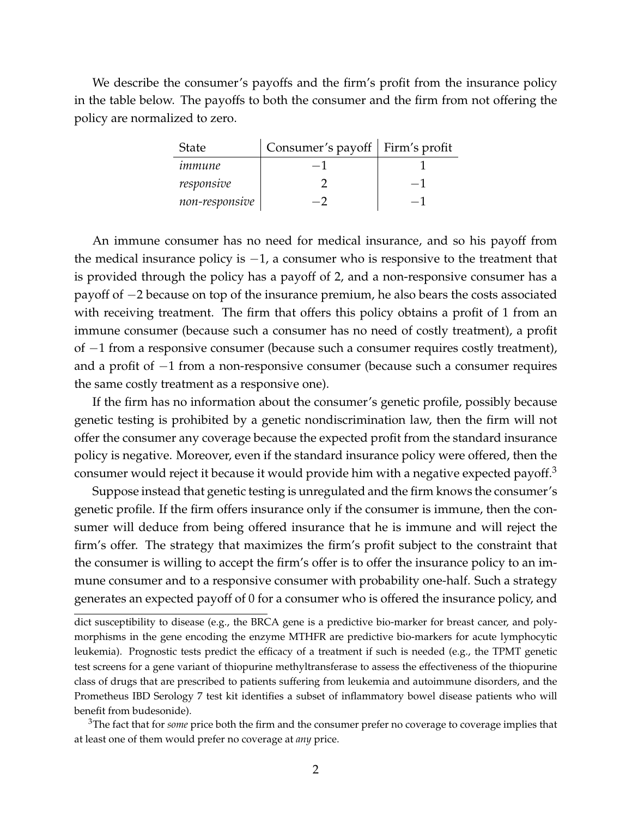We describe the consumer's payoffs and the firm's profit from the insurance policy in the table below. The payoffs to both the consumer and the firm from not offering the policy are normalized to zero.

| <b>State</b>   | Consumer's payoff   Firm's profit |      |
|----------------|-----------------------------------|------|
| immune         |                                   |      |
| responsive     |                                   | $-1$ |
| non-responsive |                                   | - 1  |

An immune consumer has no need for medical insurance, and so his payoff from the medical insurance policy is  $-1$ , a consumer who is responsive to the treatment that is provided through the policy has a payoff of 2, and a non-responsive consumer has a payoff of −2 because on top of the insurance premium, he also bears the costs associated with receiving treatment. The firm that offers this policy obtains a profit of 1 from an immune consumer (because such a consumer has no need of costly treatment), a profit of −1 from a responsive consumer (because such a consumer requires costly treatment), and a profit of −1 from a non-responsive consumer (because such a consumer requires the same costly treatment as a responsive one).

If the firm has no information about the consumer's genetic profile, possibly because genetic testing is prohibited by a genetic nondiscrimination law, then the firm will not offer the consumer any coverage because the expected profit from the standard insurance policy is negative. Moreover, even if the standard insurance policy were offered, then the consumer would reject it because it would provide him with a negative expected payoff.<sup>3</sup>

Suppose instead that genetic testing is unregulated and the firm knows the consumer's genetic profile. If the firm offers insurance only if the consumer is immune, then the consumer will deduce from being offered insurance that he is immune and will reject the firm's offer. The strategy that maximizes the firm's profit subject to the constraint that the consumer is willing to accept the firm's offer is to offer the insurance policy to an immune consumer and to a responsive consumer with probability one-half. Such a strategy generates an expected payoff of 0 for a consumer who is offered the insurance policy, and

<sup>3</sup>The fact that for *some* price both the firm and the consumer prefer no coverage to coverage implies that at least one of them would prefer no coverage at *any* price.

dict susceptibility to disease (e.g., the BRCA gene is a predictive bio-marker for breast cancer, and polymorphisms in the gene encoding the enzyme MTHFR are predictive bio-markers for acute lymphocytic leukemia). Prognostic tests predict the efficacy of a treatment if such is needed (e.g., the TPMT genetic test screens for a gene variant of thiopurine methyltransferase to assess the effectiveness of the thiopurine class of drugs that are prescribed to patients suffering from leukemia and autoimmune disorders, and the Prometheus IBD Serology 7 test kit identifies a subset of inflammatory bowel disease patients who will benefit from budesonide).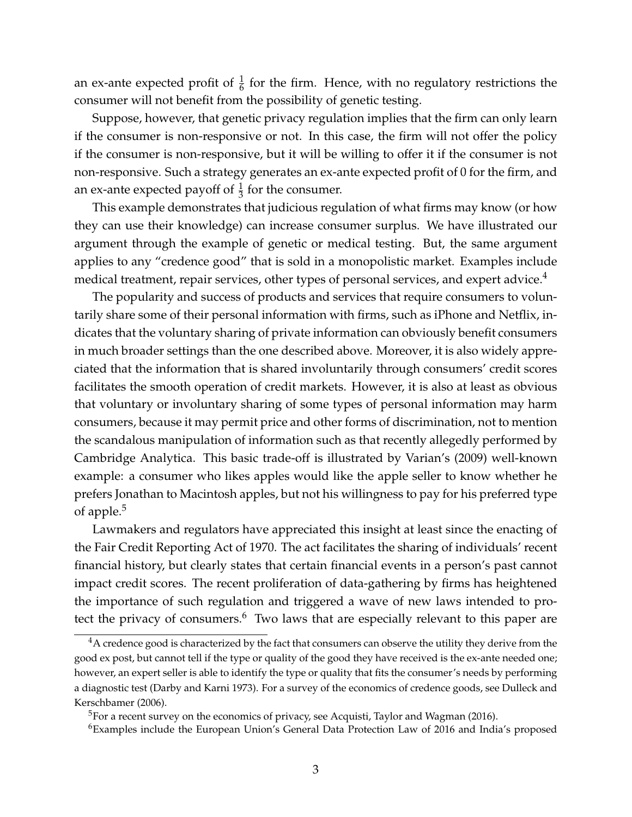an ex-ante expected profit of  $\frac{1}{6}$  for the firm. Hence, with no regulatory restrictions the consumer will not benefit from the possibility of genetic testing.

Suppose, however, that genetic privacy regulation implies that the firm can only learn if the consumer is non-responsive or not. In this case, the firm will not offer the policy if the consumer is non-responsive, but it will be willing to offer it if the consumer is not non-responsive. Such a strategy generates an ex-ante expected profit of 0 for the firm, and an ex-ante expected payoff of  $\frac{1}{3}$  for the consumer.

This example demonstrates that judicious regulation of what firms may know (or how they can use their knowledge) can increase consumer surplus. We have illustrated our argument through the example of genetic or medical testing. But, the same argument applies to any "credence good" that is sold in a monopolistic market. Examples include medical treatment, repair services, other types of personal services, and expert advice.<sup>4</sup>

The popularity and success of products and services that require consumers to voluntarily share some of their personal information with firms, such as iPhone and Netflix, indicates that the voluntary sharing of private information can obviously benefit consumers in much broader settings than the one described above. Moreover, it is also widely appreciated that the information that is shared involuntarily through consumers' credit scores facilitates the smooth operation of credit markets. However, it is also at least as obvious that voluntary or involuntary sharing of some types of personal information may harm consumers, because it may permit price and other forms of discrimination, not to mention the scandalous manipulation of information such as that recently allegedly performed by Cambridge Analytica. This basic trade-off is illustrated by Varian's (2009) well-known example: a consumer who likes apples would like the apple seller to know whether he prefers Jonathan to Macintosh apples, but not his willingness to pay for his preferred type of apple.<sup>5</sup>

Lawmakers and regulators have appreciated this insight at least since the enacting of the Fair Credit Reporting Act of 1970. The act facilitates the sharing of individuals' recent financial history, but clearly states that certain financial events in a person's past cannot impact credit scores. The recent proliferation of data-gathering by firms has heightened the importance of such regulation and triggered a wave of new laws intended to protect the privacy of consumers.<sup>6</sup> Two laws that are especially relevant to this paper are

 $4A$  credence good is characterized by the fact that consumers can observe the utility they derive from the good ex post, but cannot tell if the type or quality of the good they have received is the ex-ante needed one; however, an expert seller is able to identify the type or quality that fits the consumer's needs by performing a diagnostic test (Darby and Karni 1973). For a survey of the economics of credence goods, see Dulleck and Kerschbamer (2006).

 $5$ For a recent survey on the economics of privacy, see Acquisti, Taylor and Wagman (2016).

<sup>6</sup>Examples include the European Union's General Data Protection Law of 2016 and India's proposed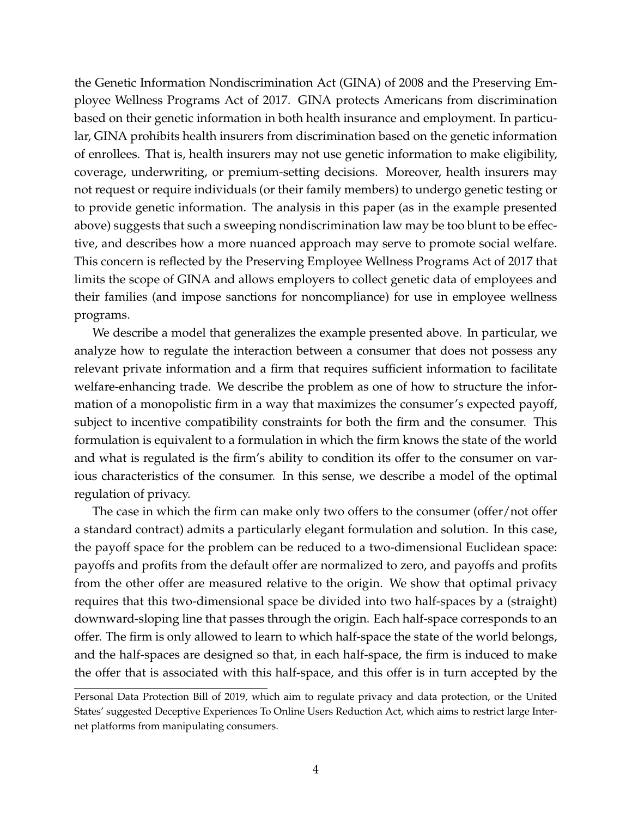the Genetic Information Nondiscrimination Act (GINA) of 2008 and the Preserving Employee Wellness Programs Act of 2017. GINA protects Americans from discrimination based on their genetic information in both health insurance and employment. In particular, GINA prohibits health insurers from discrimination based on the genetic information of enrollees. That is, health insurers may not use genetic information to make eligibility, coverage, underwriting, or premium-setting decisions. Moreover, health insurers may not request or require individuals (or their family members) to undergo genetic testing or to provide genetic information. The analysis in this paper (as in the example presented above) suggests that such a sweeping nondiscrimination law may be too blunt to be effective, and describes how a more nuanced approach may serve to promote social welfare. This concern is reflected by the Preserving Employee Wellness Programs Act of 2017 that limits the scope of GINA and allows employers to collect genetic data of employees and their families (and impose sanctions for noncompliance) for use in employee wellness programs.

We describe a model that generalizes the example presented above. In particular, we analyze how to regulate the interaction between a consumer that does not possess any relevant private information and a firm that requires sufficient information to facilitate welfare-enhancing trade. We describe the problem as one of how to structure the information of a monopolistic firm in a way that maximizes the consumer's expected payoff, subject to incentive compatibility constraints for both the firm and the consumer. This formulation is equivalent to a formulation in which the firm knows the state of the world and what is regulated is the firm's ability to condition its offer to the consumer on various characteristics of the consumer. In this sense, we describe a model of the optimal regulation of privacy.

The case in which the firm can make only two offers to the consumer (offer/not offer a standard contract) admits a particularly elegant formulation and solution. In this case, the payoff space for the problem can be reduced to a two-dimensional Euclidean space: payoffs and profits from the default offer are normalized to zero, and payoffs and profits from the other offer are measured relative to the origin. We show that optimal privacy requires that this two-dimensional space be divided into two half-spaces by a (straight) downward-sloping line that passes through the origin. Each half-space corresponds to an offer. The firm is only allowed to learn to which half-space the state of the world belongs, and the half-spaces are designed so that, in each half-space, the firm is induced to make the offer that is associated with this half-space, and this offer is in turn accepted by the

Personal Data Protection Bill of 2019, which aim to regulate privacy and data protection, or the United States' suggested Deceptive Experiences To Online Users Reduction Act, which aims to restrict large Internet platforms from manipulating consumers.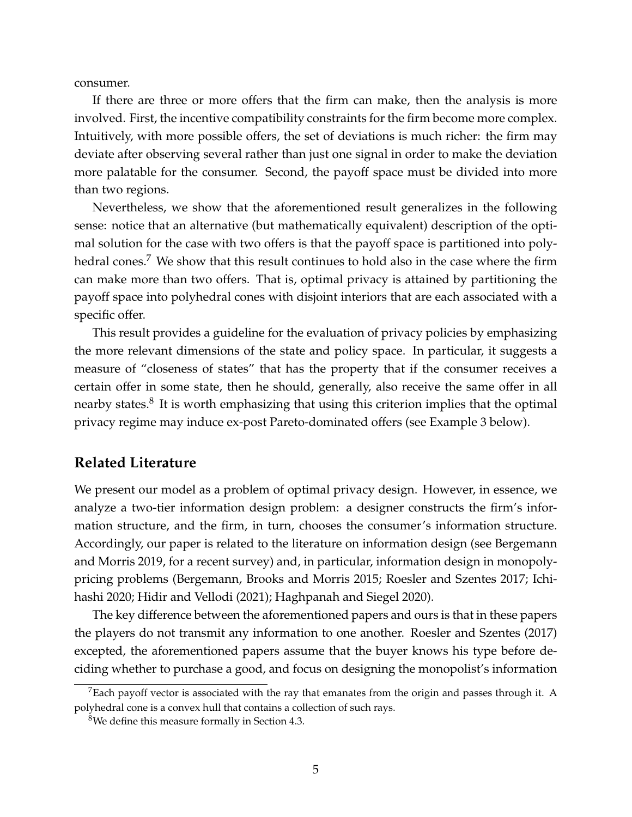consumer.

If there are three or more offers that the firm can make, then the analysis is more involved. First, the incentive compatibility constraints for the firm become more complex. Intuitively, with more possible offers, the set of deviations is much richer: the firm may deviate after observing several rather than just one signal in order to make the deviation more palatable for the consumer. Second, the payoff space must be divided into more than two regions.

Nevertheless, we show that the aforementioned result generalizes in the following sense: notice that an alternative (but mathematically equivalent) description of the optimal solution for the case with two offers is that the payoff space is partitioned into polyhedral cones.<sup>7</sup> We show that this result continues to hold also in the case where the firm can make more than two offers. That is, optimal privacy is attained by partitioning the payoff space into polyhedral cones with disjoint interiors that are each associated with a specific offer.

This result provides a guideline for the evaluation of privacy policies by emphasizing the more relevant dimensions of the state and policy space. In particular, it suggests a measure of "closeness of states" that has the property that if the consumer receives a certain offer in some state, then he should, generally, also receive the same offer in all nearby states. ${}^{8}$  It is worth emphasizing that using this criterion implies that the optimal privacy regime may induce ex-post Pareto-dominated offers (see Example 3 below).

### **Related Literature**

We present our model as a problem of optimal privacy design. However, in essence, we analyze a two-tier information design problem: a designer constructs the firm's information structure, and the firm, in turn, chooses the consumer's information structure. Accordingly, our paper is related to the literature on information design (see Bergemann and Morris 2019, for a recent survey) and, in particular, information design in monopolypricing problems (Bergemann, Brooks and Morris 2015; Roesler and Szentes 2017; Ichihashi 2020; Hidir and Vellodi (2021); Haghpanah and Siegel 2020).

The key difference between the aforementioned papers and ours is that in these papers the players do not transmit any information to one another. Roesler and Szentes (2017) excepted, the aforementioned papers assume that the buyer knows his type before deciding whether to purchase a good, and focus on designing the monopolist's information

 $7$ Each payoff vector is associated with the ray that emanates from the origin and passes through it. A polyhedral cone is a convex hull that contains a collection of such rays.

<sup>8</sup>We define this measure formally in Section 4.3.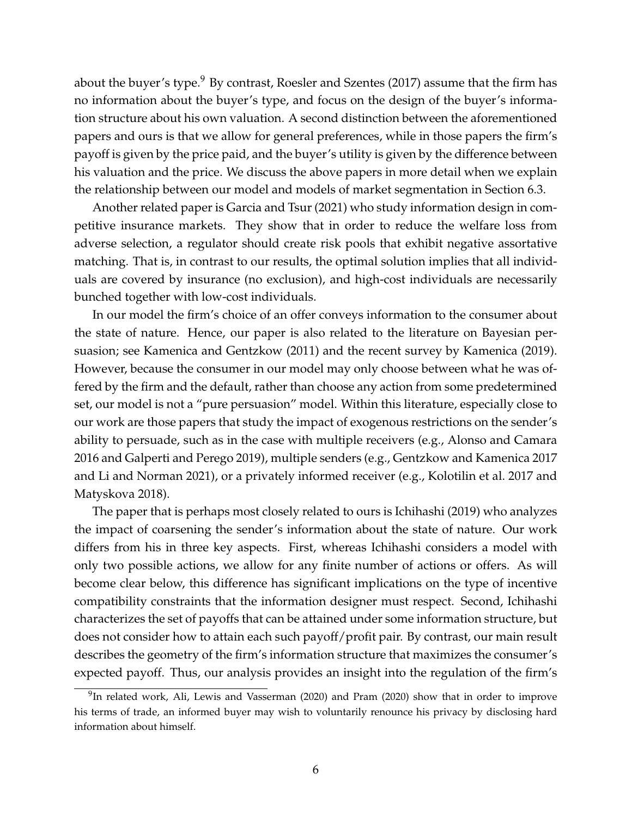about the buyer's type. $9$  By contrast, Roesler and Szentes (2017) assume that the firm has no information about the buyer's type, and focus on the design of the buyer's information structure about his own valuation. A second distinction between the aforementioned papers and ours is that we allow for general preferences, while in those papers the firm's payoff is given by the price paid, and the buyer's utility is given by the difference between his valuation and the price. We discuss the above papers in more detail when we explain the relationship between our model and models of market segmentation in Section 6.3.

Another related paper is Garcia and Tsur (2021) who study information design in competitive insurance markets. They show that in order to reduce the welfare loss from adverse selection, a regulator should create risk pools that exhibit negative assortative matching. That is, in contrast to our results, the optimal solution implies that all individuals are covered by insurance (no exclusion), and high-cost individuals are necessarily bunched together with low-cost individuals.

In our model the firm's choice of an offer conveys information to the consumer about the state of nature. Hence, our paper is also related to the literature on Bayesian persuasion; see Kamenica and Gentzkow (2011) and the recent survey by Kamenica (2019). However, because the consumer in our model may only choose between what he was offered by the firm and the default, rather than choose any action from some predetermined set, our model is not a "pure persuasion" model. Within this literature, especially close to our work are those papers that study the impact of exogenous restrictions on the sender's ability to persuade, such as in the case with multiple receivers (e.g., Alonso and Camara 2016 and Galperti and Perego 2019), multiple senders (e.g., Gentzkow and Kamenica 2017 and Li and Norman 2021), or a privately informed receiver (e.g., Kolotilin et al. 2017 and Matyskova 2018).

The paper that is perhaps most closely related to ours is Ichihashi (2019) who analyzes the impact of coarsening the sender's information about the state of nature. Our work differs from his in three key aspects. First, whereas Ichihashi considers a model with only two possible actions, we allow for any finite number of actions or offers. As will become clear below, this difference has significant implications on the type of incentive compatibility constraints that the information designer must respect. Second, Ichihashi characterizes the set of payoffs that can be attained under some information structure, but does not consider how to attain each such payoff/profit pair. By contrast, our main result describes the geometry of the firm's information structure that maximizes the consumer's expected payoff. Thus, our analysis provides an insight into the regulation of the firm's

 $^{9}$ In related work, Ali, Lewis and Vasserman (2020) and Pram (2020) show that in order to improve his terms of trade, an informed buyer may wish to voluntarily renounce his privacy by disclosing hard information about himself.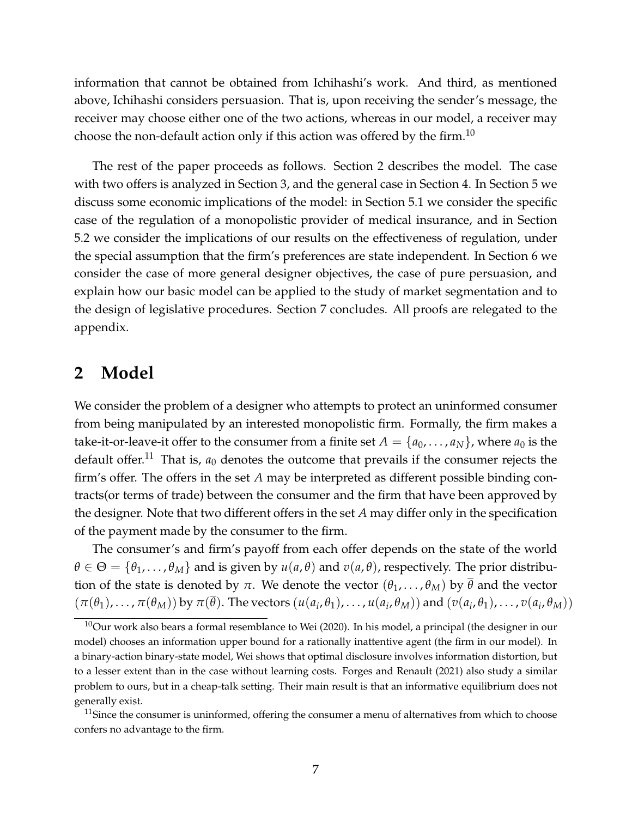information that cannot be obtained from Ichihashi's work. And third, as mentioned above, Ichihashi considers persuasion. That is, upon receiving the sender's message, the receiver may choose either one of the two actions, whereas in our model, a receiver may choose the non-default action only if this action was offered by the firm.<sup>10</sup>

The rest of the paper proceeds as follows. Section 2 describes the model. The case with two offers is analyzed in Section 3, and the general case in Section 4. In Section 5 we discuss some economic implications of the model: in Section 5.1 we consider the specific case of the regulation of a monopolistic provider of medical insurance, and in Section 5.2 we consider the implications of our results on the effectiveness of regulation, under the special assumption that the firm's preferences are state independent. In Section 6 we consider the case of more general designer objectives, the case of pure persuasion, and explain how our basic model can be applied to the study of market segmentation and to the design of legislative procedures. Section 7 concludes. All proofs are relegated to the appendix.

### **2 Model**

We consider the problem of a designer who attempts to protect an uninformed consumer from being manipulated by an interested monopolistic firm. Formally, the firm makes a take-it-or-leave-it offer to the consumer from a finite set  $A = \{a_0, \ldots, a_N\}$ , where  $a_0$  is the default offer.<sup>11</sup> That is,  $a_0$  denotes the outcome that prevails if the consumer rejects the firm's offer. The offers in the set *A* may be interpreted as different possible binding contracts(or terms of trade) between the consumer and the firm that have been approved by the designer. Note that two different offers in the set *A* may differ only in the specification of the payment made by the consumer to the firm.

The consumer's and firm's payoff from each offer depends on the state of the world  $\theta \in \Theta = {\theta_1, \ldots, \theta_M}$  and is given by  $u(a, \theta)$  and  $v(a, \theta)$ , respectively. The prior distribution of the state is denoted by  $\pi$ . We denote the vector  $(\theta_1, \ldots, \theta_M)$  by  $\overline{\theta}$  and the vector  $(\pi(\theta_1),\ldots,\pi(\theta_M))$  by  $\pi(\theta)$ . The vectors  $(u(a_i,\theta_1),\ldots,u(a_i,\theta_M))$  and  $(v(a_i,\theta_1),\ldots,v(a_i,\theta_M))$ 

 $10$ Our work also bears a formal resemblance to Wei (2020). In his model, a principal (the designer in our model) chooses an information upper bound for a rationally inattentive agent (the firm in our model). In a binary-action binary-state model, Wei shows that optimal disclosure involves information distortion, but to a lesser extent than in the case without learning costs. Forges and Renault (2021) also study a similar problem to ours, but in a cheap-talk setting. Their main result is that an informative equilibrium does not generally exist.

 $11$ Since the consumer is uninformed, offering the consumer a menu of alternatives from which to choose confers no advantage to the firm.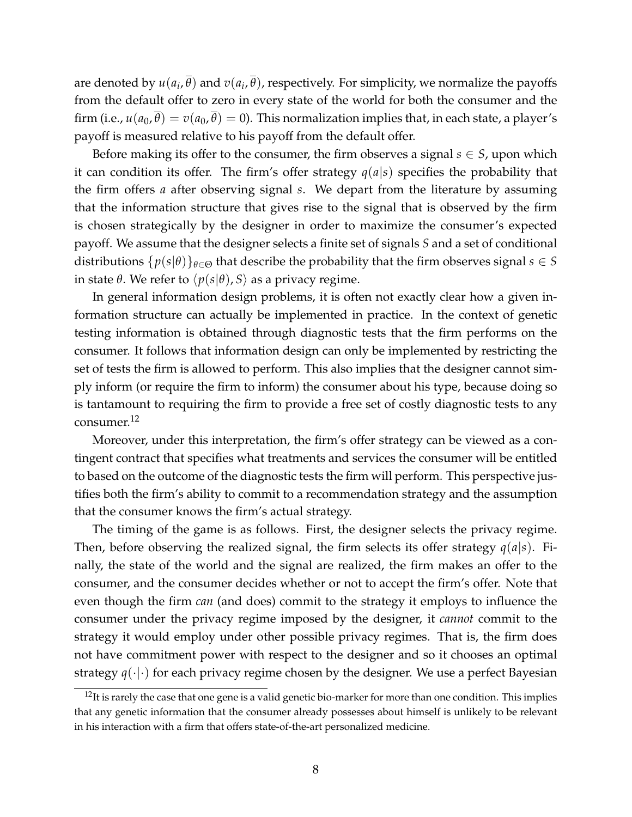are denoted by  $u(a_i,\overline{\theta})$  and  $v(a_i,\overline{\theta})$ , respectively. For simplicity, we normalize the payoffs from the default offer to zero in every state of the world for both the consumer and the firm (i.e.,  $u(a_0, \overline{\theta}) = v(a_0, \overline{\theta}) = 0$ ). This normalization implies that, in each state, a player's payoff is measured relative to his payoff from the default offer.

Before making its offer to the consumer, the firm observes a signal  $s \in S$ , upon which it can condition its offer. The firm's offer strategy  $q(a|s)$  specifies the probability that the firm offers *a* after observing signal *s*. We depart from the literature by assuming that the information structure that gives rise to the signal that is observed by the firm is chosen strategically by the designer in order to maximize the consumer's expected payoff. We assume that the designer selects a finite set of signals *S* and a set of conditional distributions  $\{p(s|\theta)\}_{\theta \in \Theta}$  that describe the probability that the firm observes signal  $s \in S$ in state *θ*. We refer to  $\langle p(s|\theta), S \rangle$  as a privacy regime.

In general information design problems, it is often not exactly clear how a given information structure can actually be implemented in practice. In the context of genetic testing information is obtained through diagnostic tests that the firm performs on the consumer. It follows that information design can only be implemented by restricting the set of tests the firm is allowed to perform. This also implies that the designer cannot simply inform (or require the firm to inform) the consumer about his type, because doing so is tantamount to requiring the firm to provide a free set of costly diagnostic tests to any consumer.<sup>12</sup>

Moreover, under this interpretation, the firm's offer strategy can be viewed as a contingent contract that specifies what treatments and services the consumer will be entitled to based on the outcome of the diagnostic tests the firm will perform. This perspective justifies both the firm's ability to commit to a recommendation strategy and the assumption that the consumer knows the firm's actual strategy.

The timing of the game is as follows. First, the designer selects the privacy regime. Then, before observing the realized signal, the firm selects its offer strategy *q*(*a*|*s*). Finally, the state of the world and the signal are realized, the firm makes an offer to the consumer, and the consumer decides whether or not to accept the firm's offer. Note that even though the firm *can* (and does) commit to the strategy it employs to influence the consumer under the privacy regime imposed by the designer, it *cannot* commit to the strategy it would employ under other possible privacy regimes. That is, the firm does not have commitment power with respect to the designer and so it chooses an optimal strategy  $q(\cdot|\cdot)$  for each privacy regime chosen by the designer. We use a perfect Bayesian

 $12$ It is rarely the case that one gene is a valid genetic bio-marker for more than one condition. This implies that any genetic information that the consumer already possesses about himself is unlikely to be relevant in his interaction with a firm that offers state-of-the-art personalized medicine.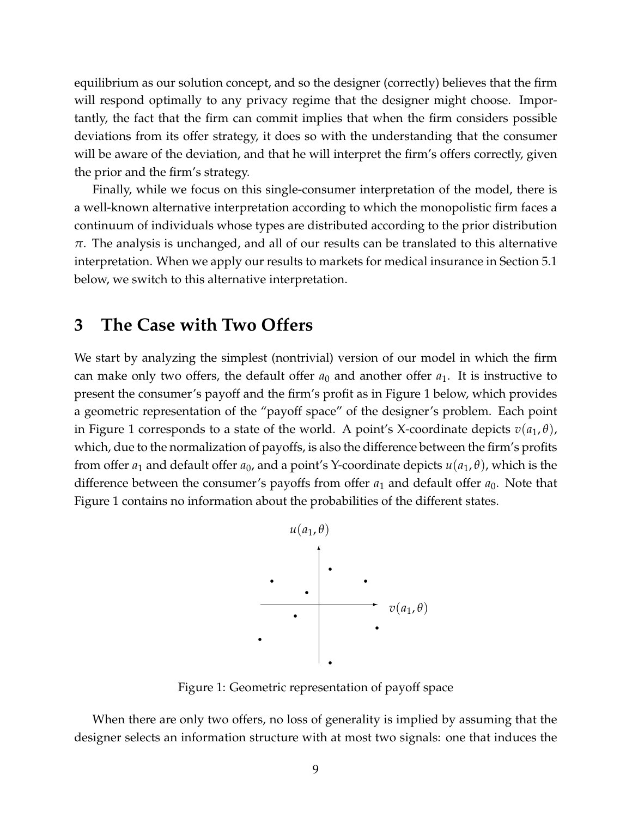equilibrium as our solution concept, and so the designer (correctly) believes that the firm will respond optimally to any privacy regime that the designer might choose. Importantly, the fact that the firm can commit implies that when the firm considers possible deviations from its offer strategy, it does so with the understanding that the consumer will be aware of the deviation, and that he will interpret the firm's offers correctly, given the prior and the firm's strategy.

Finally, while we focus on this single-consumer interpretation of the model, there is a well-known alternative interpretation according to which the monopolistic firm faces a continuum of individuals whose types are distributed according to the prior distribution *π*. The analysis is unchanged, and all of our results can be translated to this alternative interpretation. When we apply our results to markets for medical insurance in Section 5.1 below, we switch to this alternative interpretation.

### **3 The Case with Two Offers**

We start by analyzing the simplest (nontrivial) version of our model in which the firm can make only two offers, the default offer  $a_0$  and another offer  $a_1$ . It is instructive to present the consumer's payoff and the firm's profit as in Figure 1 below, which provides a geometric representation of the "payoff space" of the designer's problem. Each point in Figure 1 corresponds to a state of the world. A point's X-coordinate depicts  $v(a_1, \theta)$ , which, due to the normalization of payoffs, is also the difference between the firm's profits from offer  $a_1$  and default offer  $a_0$ , and a point's Y-coordinate depicts  $u(a_1, \theta)$ , which is the difference between the consumer's payoffs from offer  $a_1$  and default offer  $a_0$ . Note that Figure 1 contains no information about the probabilities of the different states.



Figure 1: Geometric representation of payoff space

When there are only two offers, no loss of generality is implied by assuming that the designer selects an information structure with at most two signals: one that induces the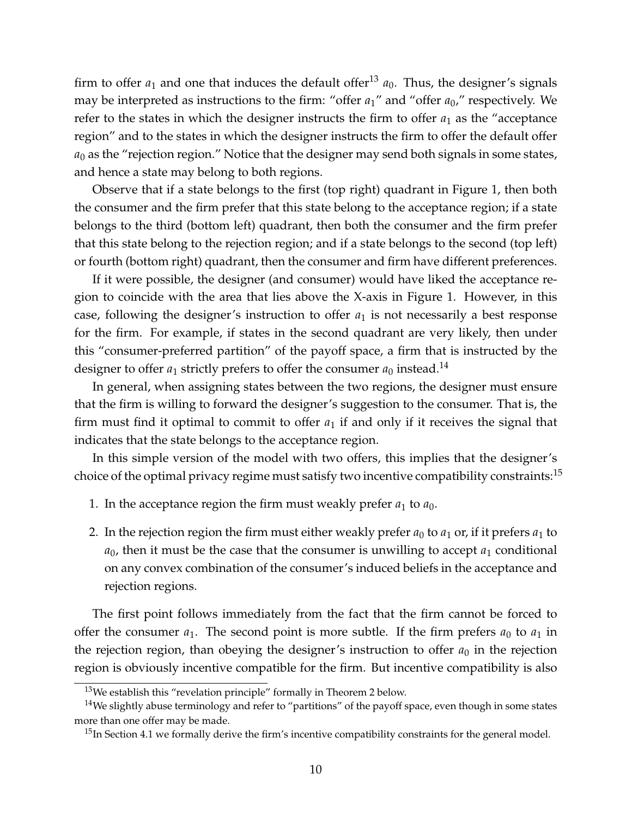firm to offer  $a_1$  and one that induces the default offer<sup>13</sup>  $a_0$ . Thus, the designer's signals may be interpreted as instructions to the firm: "offer *a*1" and "offer *a*0," respectively. We refer to the states in which the designer instructs the firm to offer  $a_1$  as the "acceptance" region" and to the states in which the designer instructs the firm to offer the default offer  $a_0$  as the "rejection region." Notice that the designer may send both signals in some states, and hence a state may belong to both regions.

Observe that if a state belongs to the first (top right) quadrant in Figure 1, then both the consumer and the firm prefer that this state belong to the acceptance region; if a state belongs to the third (bottom left) quadrant, then both the consumer and the firm prefer that this state belong to the rejection region; and if a state belongs to the second (top left) or fourth (bottom right) quadrant, then the consumer and firm have different preferences.

If it were possible, the designer (and consumer) would have liked the acceptance region to coincide with the area that lies above the X-axis in Figure 1. However, in this case, following the designer's instruction to offer  $a_1$  is not necessarily a best response for the firm. For example, if states in the second quadrant are very likely, then under this "consumer-preferred partition" of the payoff space, a firm that is instructed by the designer to offer  $a_1$  strictly prefers to offer the consumer  $a_0$  instead.<sup>14</sup>

In general, when assigning states between the two regions, the designer must ensure that the firm is willing to forward the designer's suggestion to the consumer. That is, the firm must find it optimal to commit to offer  $a_1$  if and only if it receives the signal that indicates that the state belongs to the acceptance region.

In this simple version of the model with two offers, this implies that the designer's choice of the optimal privacy regime must satisfy two incentive compatibility constraints:  $15$ 

- 1. In the acceptance region the firm must weakly prefer  $a_1$  to  $a_0$ .
- 2. In the rejection region the firm must either weakly prefer  $a_0$  to  $a_1$  or, if it prefers  $a_1$  to  $a_0$ , then it must be the case that the consumer is unwilling to accept  $a_1$  conditional on any convex combination of the consumer's induced beliefs in the acceptance and rejection regions.

The first point follows immediately from the fact that the firm cannot be forced to offer the consumer  $a_1$ . The second point is more subtle. If the firm prefers  $a_0$  to  $a_1$  in the rejection region, than obeying the designer's instruction to offer  $a_0$  in the rejection region is obviously incentive compatible for the firm. But incentive compatibility is also

 $13$ We establish this "revelation principle" formally in Theorem 2 below.

 $14$ We slightly abuse terminology and refer to "partitions" of the payoff space, even though in some states more than one offer may be made.

 $15$ In Section 4.1 we formally derive the firm's incentive compatibility constraints for the general model.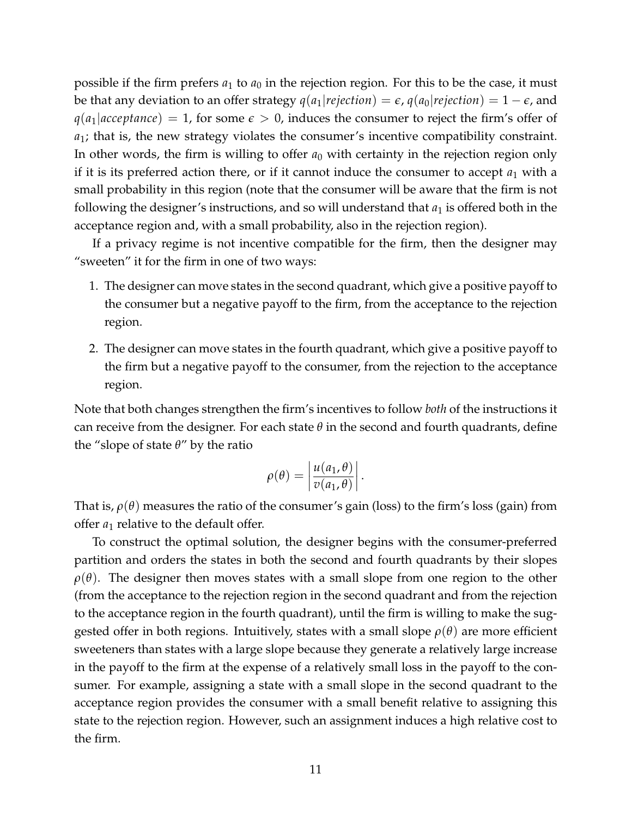possible if the firm prefers  $a_1$  to  $a_0$  in the rejection region. For this to be the case, it must be that any deviation to an offer strategy  $q(a_1|rejection) = \epsilon$ ,  $q(a_0|rejection) = 1 - \epsilon$ , and  $q(a_1|acceptance) = 1$ , for some  $\epsilon > 0$ , induces the consumer to reject the firm's offer of *a*1; that is, the new strategy violates the consumer's incentive compatibility constraint. In other words, the firm is willing to offer  $a_0$  with certainty in the rejection region only if it is its preferred action there, or if it cannot induce the consumer to accept  $a_1$  with a small probability in this region (note that the consumer will be aware that the firm is not following the designer's instructions, and so will understand that  $a_1$  is offered both in the acceptance region and, with a small probability, also in the rejection region).

If a privacy regime is not incentive compatible for the firm, then the designer may "sweeten" it for the firm in one of two ways:

- 1. The designer can move states in the second quadrant, which give a positive payoff to the consumer but a negative payoff to the firm, from the acceptance to the rejection region.
- 2. The designer can move states in the fourth quadrant, which give a positive payoff to the firm but a negative payoff to the consumer, from the rejection to the acceptance region.

Note that both changes strengthen the firm's incentives to follow *both* of the instructions it can receive from the designer. For each state  $\theta$  in the second and fourth quadrants, define the "slope of state *θ*" by the ratio

$$
\rho(\theta) = \left| \frac{u(a_1, \theta)}{v(a_1, \theta)} \right|.
$$

That is,  $\rho(\theta)$  measures the ratio of the consumer's gain (loss) to the firm's loss (gain) from offer  $a_1$  relative to the default offer.

To construct the optimal solution, the designer begins with the consumer-preferred partition and orders the states in both the second and fourth quadrants by their slopes  $\rho(\theta)$ . The designer then moves states with a small slope from one region to the other (from the acceptance to the rejection region in the second quadrant and from the rejection to the acceptance region in the fourth quadrant), until the firm is willing to make the suggested offer in both regions. Intuitively, states with a small slope  $\rho(\theta)$  are more efficient sweeteners than states with a large slope because they generate a relatively large increase in the payoff to the firm at the expense of a relatively small loss in the payoff to the consumer. For example, assigning a state with a small slope in the second quadrant to the acceptance region provides the consumer with a small benefit relative to assigning this state to the rejection region. However, such an assignment induces a high relative cost to the firm.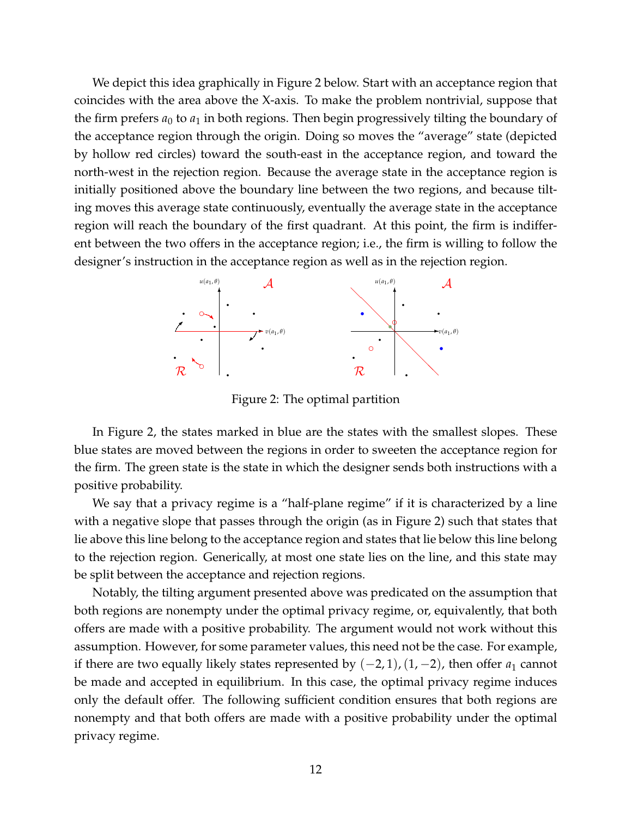We depict this idea graphically in Figure 2 below. Start with an acceptance region that coincides with the area above the X-axis. To make the problem nontrivial, suppose that the firm prefers  $a_0$  to  $a_1$  in both regions. Then begin progressively tilting the boundary of the acceptance region through the origin. Doing so moves the "average" state (depicted by hollow red circles) toward the south-east in the acceptance region, and toward the north-west in the rejection region. Because the average state in the acceptance region is initially positioned above the boundary line between the two regions, and because tilting moves this average state continuously, eventually the average state in the acceptance region will reach the boundary of the first quadrant. At this point, the firm is indifferent between the two offers in the acceptance region; i.e., the firm is willing to follow the designer's instruction in the acceptance region as well as in the rejection region.



Figure 2: The optimal partition

In Figure 2, the states marked in blue are the states with the smallest slopes. These blue states are moved between the regions in order to sweeten the acceptance region for the firm. The green state is the state in which the designer sends both instructions with a positive probability.

We say that a privacy regime is a "half-plane regime" if it is characterized by a line with a negative slope that passes through the origin (as in Figure 2) such that states that lie above this line belong to the acceptance region and states that lie below this line belong to the rejection region. Generically, at most one state lies on the line, and this state may be split between the acceptance and rejection regions.

Notably, the tilting argument presented above was predicated on the assumption that both regions are nonempty under the optimal privacy regime, or, equivalently, that both offers are made with a positive probability. The argument would not work without this assumption. However, for some parameter values, this need not be the case. For example, if there are two equally likely states represented by  $(-2, 1)$ ,  $(1, -2)$ , then offer  $a_1$  cannot be made and accepted in equilibrium. In this case, the optimal privacy regime induces only the default offer. The following sufficient condition ensures that both regions are nonempty and that both offers are made with a positive probability under the optimal privacy regime.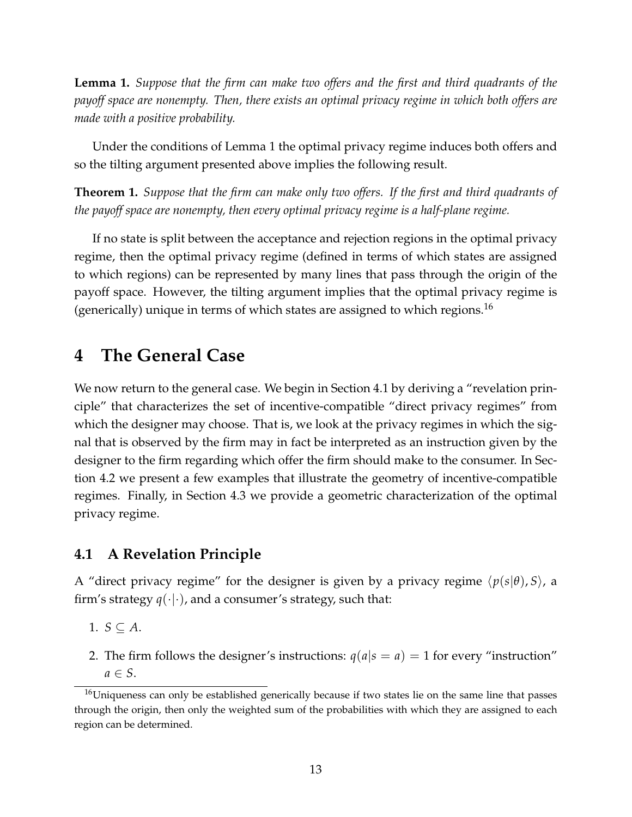**Lemma 1.** *Suppose that the firm can make two offers and the first and third quadrants of the payoff space are nonempty. Then, there exists an optimal privacy regime in which both offers are made with a positive probability.*

Under the conditions of Lemma 1 the optimal privacy regime induces both offers and so the tilting argument presented above implies the following result.

**Theorem 1.** *Suppose that the firm can make only two offers. If the first and third quadrants of the payoff space are nonempty, then every optimal privacy regime is a half-plane regime.*

If no state is split between the acceptance and rejection regions in the optimal privacy regime, then the optimal privacy regime (defined in terms of which states are assigned to which regions) can be represented by many lines that pass through the origin of the payoff space. However, the tilting argument implies that the optimal privacy regime is (generically) unique in terms of which states are assigned to which regions.<sup>16</sup>

# **4 The General Case**

We now return to the general case. We begin in Section 4.1 by deriving a "revelation principle" that characterizes the set of incentive-compatible "direct privacy regimes" from which the designer may choose. That is, we look at the privacy regimes in which the signal that is observed by the firm may in fact be interpreted as an instruction given by the designer to the firm regarding which offer the firm should make to the consumer. In Section 4.2 we present a few examples that illustrate the geometry of incentive-compatible regimes. Finally, in Section 4.3 we provide a geometric characterization of the optimal privacy regime.

### **4.1 A Revelation Principle**

A "direct privacy regime" for the designer is given by a privacy regime  $\langle p(s|\theta), S \rangle$ , a firm's strategy  $q(\cdot|\cdot)$ , and a consumer's strategy, such that:

1.  $S \subseteq A$ .

2. The firm follows the designer's instructions:  $q(a|s = a) = 1$  for every "instruction"  $a \in S$ .

<sup>&</sup>lt;sup>16</sup>Uniqueness can only be established generically because if two states lie on the same line that passes through the origin, then only the weighted sum of the probabilities with which they are assigned to each region can be determined.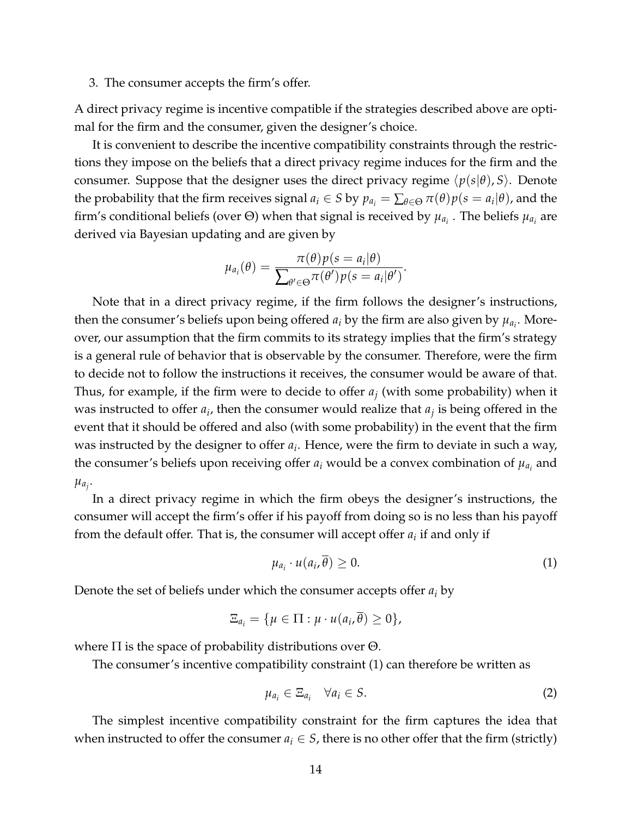3. The consumer accepts the firm's offer.

A direct privacy regime is incentive compatible if the strategies described above are optimal for the firm and the consumer, given the designer's choice.

It is convenient to describe the incentive compatibility constraints through the restrictions they impose on the beliefs that a direct privacy regime induces for the firm and the consumer. Suppose that the designer uses the direct privacy regime  $\langle p(s|\theta), S \rangle$ . Denote the probability that the firm receives signal  $a_i \in S$  by  $p_{a_i} = \sum_{\theta \in \Theta} \pi(\theta) p(s = a_i | \theta)$ , and the firm's conditional beliefs (over  $\Theta$ ) when that signal is received by  $\mu_{a_i}$  . The beliefs  $\mu_{a_i}$  are derived via Bayesian updating and are given by

$$
\mu_{a_i}(\theta) = \frac{\pi(\theta)p(s = a_i|\theta)}{\sum_{\theta' \in \Theta} \pi(\theta')p(s = a_i|\theta')}.
$$

Note that in a direct privacy regime, if the firm follows the designer's instructions, then the consumer's beliefs upon being offered  $a_i$  by the firm are also given by  $\mu_{a_i}$ . Moreover, our assumption that the firm commits to its strategy implies that the firm's strategy is a general rule of behavior that is observable by the consumer. Therefore, were the firm to decide not to follow the instructions it receives, the consumer would be aware of that. Thus, for example, if the firm were to decide to offer *a<sup>j</sup>* (with some probability) when it was instructed to offer  $a_i$ , then the consumer would realize that  $a_j$  is being offered in the event that it should be offered and also (with some probability) in the event that the firm was instructed by the designer to offer *a<sup>i</sup>* . Hence, were the firm to deviate in such a way, the consumer's beliefs upon receiving offer  $a_i$  would be a convex combination of  $\mu_{a_i}$  and  $\mu_{a_j}$ .

In a direct privacy regime in which the firm obeys the designer's instructions, the consumer will accept the firm's offer if his payoff from doing so is no less than his payoff from the default offer. That is, the consumer will accept offer *a<sup>i</sup>* if and only if

$$
\mu_{a_i} \cdot u(a_i, \overline{\theta}) \geq 0. \tag{1}
$$

Denote the set of beliefs under which the consumer accepts offer *a<sup>i</sup>* by

$$
\Xi_{a_i} = \{\mu \in \Pi : \mu \cdot u(a_i, \overline{\theta}) \geq 0\},\
$$

where  $\Pi$  is the space of probability distributions over  $\Theta$ .

The consumer's incentive compatibility constraint (1) can therefore be written as

$$
\mu_{a_i} \in \Xi_{a_i} \quad \forall a_i \in S. \tag{2}
$$

The simplest incentive compatibility constraint for the firm captures the idea that when instructed to offer the consumer  $a_i \in S$ , there is no other offer that the firm (strictly)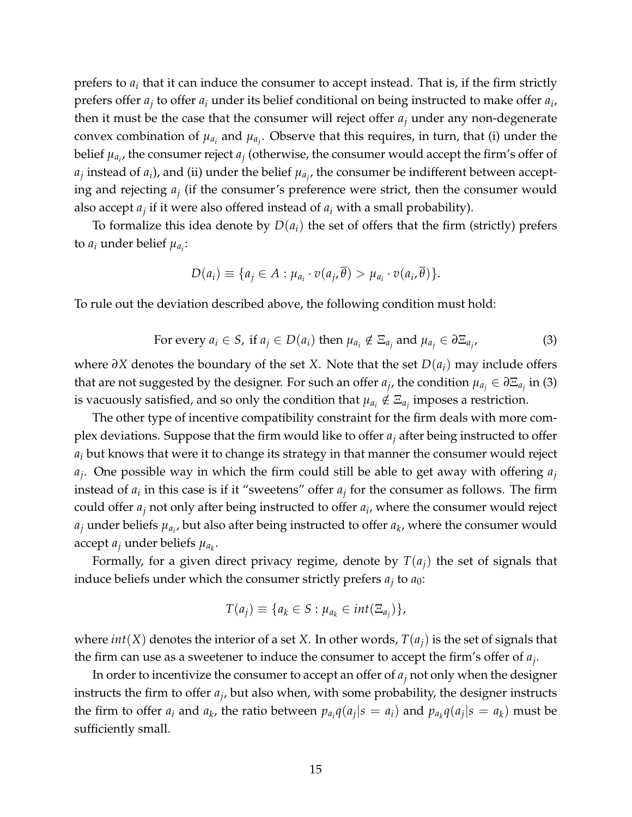prefers to  $a_i$  that it can induce the consumer to accept instead. That is, if the firm strictly prefers offer *a<sup>j</sup>* to offer *a<sup>i</sup>* under its belief conditional on being instructed to make offer *a<sup>i</sup>* , then it must be the case that the consumer will reject offer  $a_j$  under any non-degenerate convex combination of  $\mu_{a_i}$  and  $\mu_{a_j}$ . Observe that this requires, in turn, that (i) under the belief  $\mu_{a_i}$ , the consumer reject  $a_j$  (otherwise, the consumer would accept the firm's offer of  $a_j$  instead of  $a_i$ ), and (ii) under the belief  $\mu_{a_j}$ , the consumer be indifferent between accepting and rejecting *a<sup>j</sup>* (if the consumer's preference were strict, then the consumer would also accept *a<sup>j</sup>* if it were also offered instead of *a<sup>i</sup>* with a small probability).

To formalize this idea denote by  $D(a_i)$  the set of offers that the firm (strictly) prefers to  $a_i$  under belief  $\mu_{a_i}$ :

$$
D(a_i) \equiv \{a_j \in A : \mu_{a_i} \cdot v(a_j, \overline{\theta}) > \mu_{a_i} \cdot v(a_i, \overline{\theta})\}.
$$

To rule out the deviation described above, the following condition must hold:

For every 
$$
a_i \in S
$$
, if  $a_j \in D(a_i)$  then  $\mu_{a_i} \notin \Xi_{a_j}$  and  $\mu_{a_j} \in \partial \Xi_{a_j}$ , (3)

where *∂X* denotes the boundary of the set *X*. Note that the set *D*(*ai*) may include offers that are not suggested by the designer. For such an offer  $a_j$ , the condition  $\mu_{a_j} \in \partial \Xi_{a_j}$  in (3) is vacuously satisfied, and so only the condition that  $\mu_{a_i} \notin \Xi_{a_j}$  imposes a restriction.

The other type of incentive compatibility constraint for the firm deals with more complex deviations. Suppose that the firm would like to offer *a<sup>j</sup>* after being instructed to offer *a<sup>i</sup>* but knows that were it to change its strategy in that manner the consumer would reject *aj* . One possible way in which the firm could still be able to get away with offering *a<sup>j</sup>* instead of  $a_i$  in this case is if it "sweetens" offer  $a_j$  for the consumer as follows. The firm could offer *a<sup>j</sup>* not only after being instructed to offer *a<sup>i</sup>* , where the consumer would reject  $a_j$  under beliefs  $\mu_{a_i}$ , but also after being instructed to offer  $a_k$ , where the consumer would accept  $a_j$  under beliefs  $\mu_{a_k}$ .

Formally, for a given direct privacy regime, denote by  $T(a_i)$  the set of signals that induce beliefs under which the consumer strictly prefers  $a_j$  to  $a_0$ :

$$
T(a_j) \equiv \{a_k \in S : \mu_{a_k} \in int(\Xi_{a_j})\},\
$$

where *int*(*X*) denotes the interior of a set *X*. In other words,  $T(a_i)$  is the set of signals that the firm can use as a sweetener to induce the consumer to accept the firm's offer of *a<sup>j</sup>* .

In order to incentivize the consumer to accept an offer of *a<sup>j</sup>* not only when the designer instructs the firm to offer *a<sup>j</sup>* , but also when, with some probability, the designer instructs the firm to offer  $a_i$  and  $a_k$ , the ratio between  $p_{a_i}q(a_j|s = a_i)$  and  $p_{a_k}q(a_j|s = a_k)$  must be sufficiently small.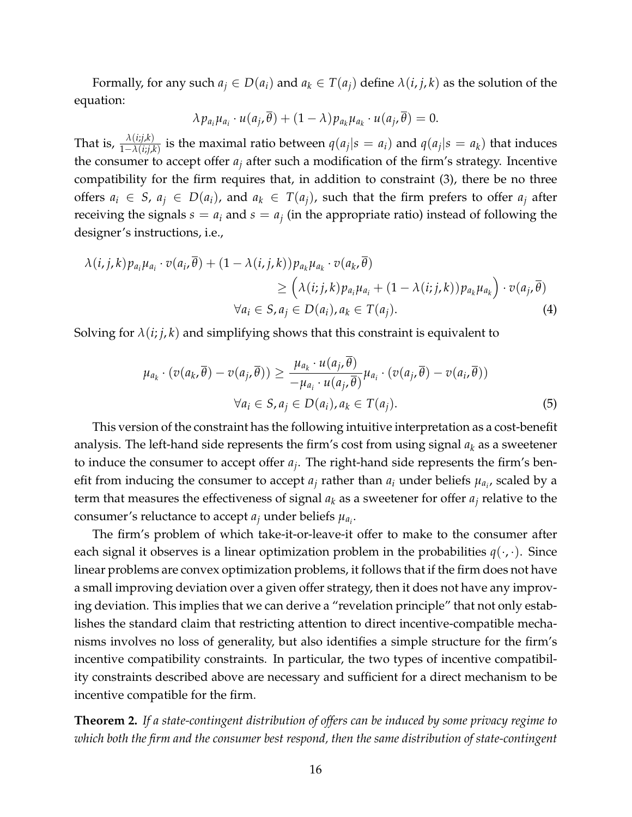Formally, for any such  $a_j \in D(a_i)$  and  $a_k \in T(a_j)$  define  $\lambda(i, j, k)$  as the solution of the equation:

$$
\lambda p_{a_i} \mu_{a_i} \cdot u(a_j, \overline{\theta}) + (1 - \lambda) p_{a_k} \mu_{a_k} \cdot u(a_j, \overline{\theta}) = 0.
$$

That is,  $\frac{\lambda(i;j,k)}{1-\lambda(i;j,k)}$  is the maximal ratio between  $q(a_j|s=a_i)$  and  $q(a_j|s=a_k)$  that induces the consumer to accept offer  $a_j$  after such a modification of the firm's strategy. Incentive compatibility for the firm requires that, in addition to constraint (3), there be no three offers  $a_i \in S$ ,  $a_j \in D(a_i)$ , and  $a_k \in T(a_i)$ , such that the firm prefers to offer  $a_j$  after receiving the signals  $s = a_i$  and  $s = a_j$  (in the appropriate ratio) instead of following the designer's instructions, i.e.,

$$
\lambda(i,j,k)p_{a_i}\mu_{a_i} \cdot v(a_i, \overline{\theta}) + (1 - \lambda(i,j,k))p_{a_k}\mu_{a_k} \cdot v(a_k, \overline{\theta})
$$
  
\n
$$
\geq (\lambda(i;j,k)p_{a_i}\mu_{a_i} + (1 - \lambda(i;j,k))p_{a_k}\mu_{a_k}) \cdot v(a_j, \overline{\theta})
$$
  
\n
$$
\forall a_i \in S, a_j \in D(a_i), a_k \in T(a_j). \tag{4}
$$

Solving for  $\lambda(i; j, k)$  and simplifying shows that this constraint is equivalent to

$$
\mu_{a_k} \cdot (v(a_k, \overline{\theta}) - v(a_j, \overline{\theta})) \ge \frac{\mu_{a_k} \cdot u(a_j, \overline{\theta})}{-\mu_{a_i} \cdot u(a_j, \overline{\theta})} \mu_{a_i} \cdot (v(a_j, \overline{\theta}) - v(a_i, \overline{\theta}))
$$
  

$$
\forall a_i \in S, a_j \in D(a_i), a_k \in T(a_j).
$$
 (5)

This version of the constraint has the following intuitive interpretation as a cost-benefit analysis. The left-hand side represents the firm's cost from using signal *a<sup>k</sup>* as a sweetener to induce the consumer to accept offer *a<sup>j</sup>* . The right-hand side represents the firm's benefit from inducing the consumer to accept  $a_j$  rather than  $a_i$  under beliefs  $\mu_{a_{i'}}$  scaled by a term that measures the effectiveness of signal  $a_k$  as a sweetener for offer  $a_j$  relative to the consumer's reluctance to accept  $a_j$  under beliefs  $\mu_{a_i}.$ 

The firm's problem of which take-it-or-leave-it offer to make to the consumer after each signal it observes is a linear optimization problem in the probabilities  $q(\cdot,\cdot)$ . Since linear problems are convex optimization problems, it follows that if the firm does not have a small improving deviation over a given offer strategy, then it does not have any improving deviation. This implies that we can derive a "revelation principle" that not only establishes the standard claim that restricting attention to direct incentive-compatible mechanisms involves no loss of generality, but also identifies a simple structure for the firm's incentive compatibility constraints. In particular, the two types of incentive compatibility constraints described above are necessary and sufficient for a direct mechanism to be incentive compatible for the firm.

**Theorem 2.** *If a state-contingent distribution of offers can be induced by some privacy regime to which both the firm and the consumer best respond, then the same distribution of state-contingent*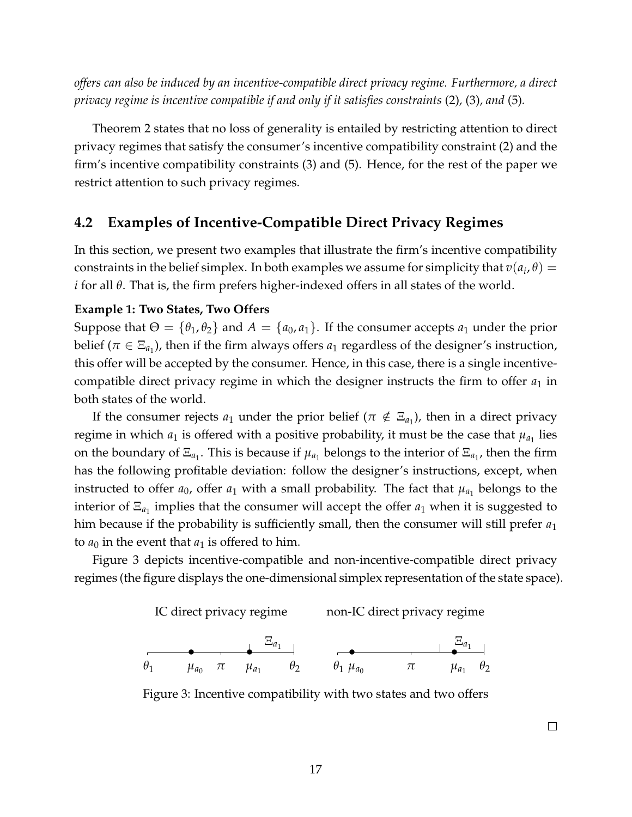*offers can also be induced by an incentive-compatible direct privacy regime. Furthermore, a direct privacy regime is incentive compatible if and only if it satisfies constraints* (2)*,* (3)*, and* (5)*.*

Theorem 2 states that no loss of generality is entailed by restricting attention to direct privacy regimes that satisfy the consumer's incentive compatibility constraint (2) and the firm's incentive compatibility constraints (3) and (5). Hence, for the rest of the paper we restrict attention to such privacy regimes.

### **4.2 Examples of Incentive-Compatible Direct Privacy Regimes**

In this section, we present two examples that illustrate the firm's incentive compatibility constraints in the belief simplex. In both examples we assume for simplicity that  $v(a_i, \theta) =$ *i* for all *θ*. That is, the firm prefers higher-indexed offers in all states of the world.

#### **Example 1: Two States, Two Offers**

Suppose that  $\Theta = {\theta_1, \theta_2}$  and  $A = {\alpha_0, \alpha_1}$ . If the consumer accepts  $a_1$  under the prior belief ( $\pi \in \Xi_{a_1}$ ), then if the firm always offers  $a_1$  regardless of the designer's instruction, this offer will be accepted by the consumer. Hence, in this case, there is a single incentivecompatible direct privacy regime in which the designer instructs the firm to offer  $a_1$  in both states of the world.

If the consumer rejects  $a_1$  under the prior belief ( $\pi \notin \Xi_{a_1}$ ), then in a direct privacy regime in which  $a_1$  is offered with a positive probability, it must be the case that  $\mu_{a_1}$  lies on the boundary of  $\Xi_{a_1}$ . This is because if  $\mu_{a_1}$  belongs to the interior of  $\Xi_{a_1}$ , then the firm has the following profitable deviation: follow the designer's instructions, except, when instructed to offer  $a_0$ , offer  $a_1$  with a small probability. The fact that  $\mu_{a_1}$  belongs to the interior of  $\Xi_{a_1}$  implies that the consumer will accept the offer  $a_1$  when it is suggested to him because if the probability is sufficiently small, then the consumer will still prefer *a*<sup>1</sup> to  $a_0$  in the event that  $a_1$  is offered to him.

Figure 3 depicts incentive-compatible and non-incentive-compatible direct privacy regimes (the figure displays the one-dimensional simplex representation of the state space).



Figure 3: Incentive compatibility with two states and two offers

 $\Box$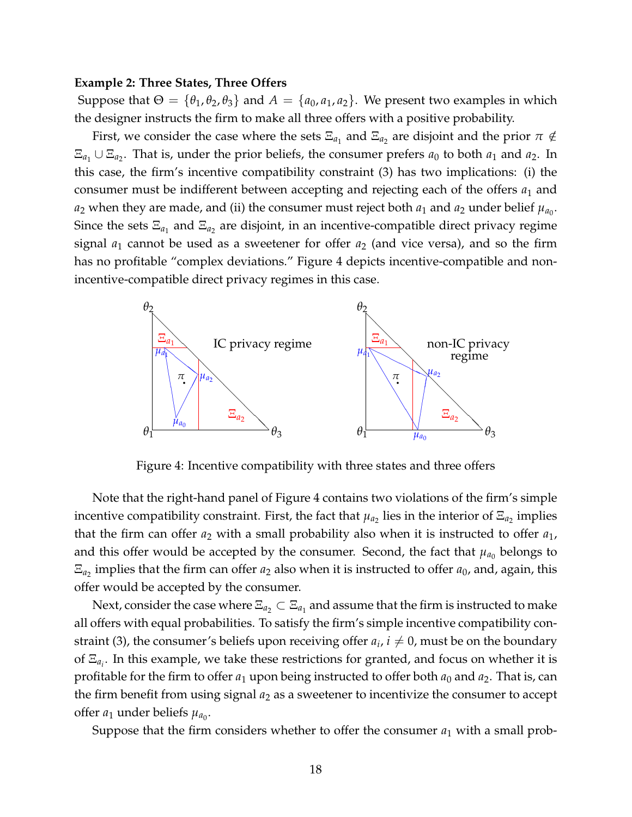#### **Example 2: Three States, Three Offers**

Suppose that  $\Theta = \{\theta_1, \theta_2, \theta_3\}$  and  $A = \{a_0, a_1, a_2\}$ . We present two examples in which the designer instructs the firm to make all three offers with a positive probability.

First, we consider the case where the sets  $\Xi_{a_1}$  and  $\Xi_{a_2}$  are disjoint and the prior  $\pi \notin \mathbb{R}$  $\Xi_{a_1} \cup \Xi_{a_2}$ . That is, under the prior beliefs, the consumer prefers  $a_0$  to both  $a_1$  and  $a_2$ . In this case, the firm's incentive compatibility constraint (3) has two implications: (i) the consumer must be indifferent between accepting and rejecting each of the offers *a*<sup>1</sup> and  $a_2$  when they are made, and (ii) the consumer must reject both  $a_1$  and  $a_2$  under belief  $\mu_{a_0}.$ Since the sets  $\Xi_{a_1}$  and  $\Xi_{a_2}$  are disjoint, in an incentive-compatible direct privacy regime signal  $a_1$  cannot be used as a sweetener for offer  $a_2$  (and vice versa), and so the firm has no profitable "complex deviations." Figure 4 depicts incentive-compatible and nonincentive-compatible direct privacy regimes in this case.



Figure 4: Incentive compatibility with three states and three offers

Note that the right-hand panel of Figure 4 contains two violations of the firm's simple incentive compatibility constraint. First, the fact that  $\mu_{a_2}$  lies in the interior of  $\Xi_{a_2}$  implies that the firm can offer  $a_2$  with a small probability also when it is instructed to offer  $a_1$ , and this offer would be accepted by the consumer. Second, the fact that  $\mu_{a_0}$  belongs to  $\Xi_{a_2}$  implies that the firm can offer  $a_2$  also when it is instructed to offer  $a_0$ , and, again, this offer would be accepted by the consumer.

Next, consider the case where  $\Xi_{a_2}\subset \Xi_{a_1}$  and assume that the firm is instructed to make all offers with equal probabilities. To satisfy the firm's simple incentive compatibility constraint (3), the consumer's beliefs upon receiving offer  $a_i$ ,  $i\neq 0$ , must be on the boundary of Ξ*a<sup>i</sup>* . In this example, we take these restrictions for granted, and focus on whether it is profitable for the firm to offer  $a_1$  upon being instructed to offer both  $a_0$  and  $a_2$ . That is, can the firm benefit from using signal *a*<sup>2</sup> as a sweetener to incentivize the consumer to accept offer  $a_1$  under beliefs  $\mu_{a_0}$ .

Suppose that the firm considers whether to offer the consumer *a*<sup>1</sup> with a small prob-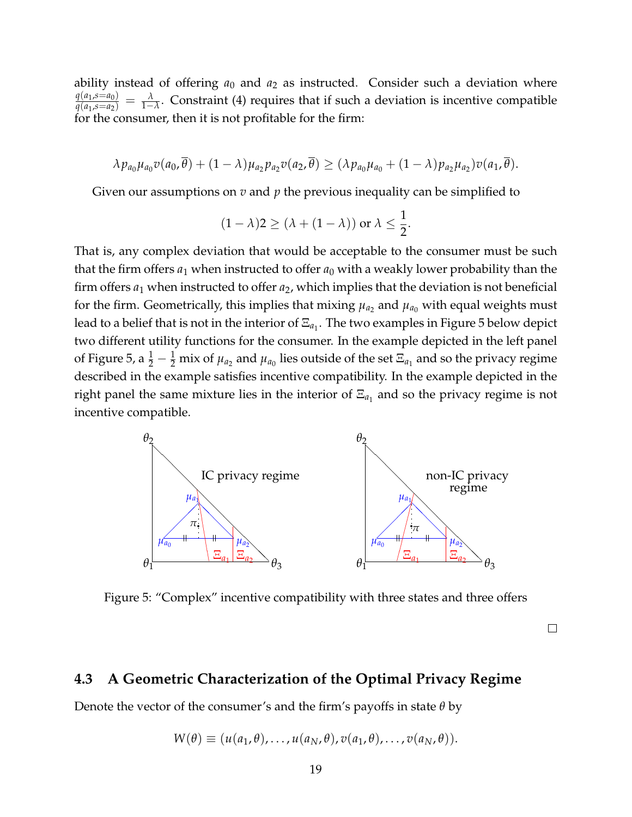ability instead of offering  $a_0$  and  $a_2$  as instructed. Consider such a deviation where *q*(*a*<sup>1</sup> ,*s*=*a*0)  $\frac{q(a_1,s=a_0)}{q(a_1,s=a_2)}=\frac{\lambda}{1-\lambda}$ . Constraint (4) requires that if such a deviation is incentive compatible for the consumer, then it is not profitable for the firm:

$$
\lambda p_{a_0}\mu_{a_0}v(a_0,\overline{\theta})+(1-\lambda)\mu_{a_2}p_{a_2}v(a_2,\overline{\theta})\geq (\lambda p_{a_0}\mu_{a_0}+(1-\lambda)p_{a_2}\mu_{a_2})v(a_1,\overline{\theta}).
$$

Given our assumptions on *v* and *p* the previous inequality can be simplified to

$$
(1 - \lambda)2 \ge (\lambda + (1 - \lambda)) \text{ or } \lambda \le \frac{1}{2}.
$$

That is, any complex deviation that would be acceptable to the consumer must be such that the firm offers  $a_1$  when instructed to offer  $a_0$  with a weakly lower probability than the firm offers *a*<sup>1</sup> when instructed to offer *a*2, which implies that the deviation is not beneficial for the firm. Geometrically, this implies that mixing  $\mu_{a_2}$  and  $\mu_{a_0}$  with equal weights must lead to a belief that is not in the interior of  $\Xi_{a_{1}}.$  The two examples in Figure 5 below depict two different utility functions for the consumer. In the example depicted in the left panel of Figure 5, a  $\frac{1}{2}-\frac{1}{2}$  mix of  $\mu_{a_2}$  and  $\mu_{a_0}$  lies outside of the set  $\Xi_{a_1}$  and so the privacy regime described in the example satisfies incentive compatibility. In the example depicted in the right panel the same mixture lies in the interior of  $\Xi_{a_1}$  and so the privacy regime is not incentive compatible.



Figure 5: "Complex" incentive compatibility with three states and three offers

 $\Box$ 

### **4.3 A Geometric Characterization of the Optimal Privacy Regime**

Denote the vector of the consumer's and the firm's payoffs in state *θ* by

$$
W(\theta) \equiv (u(a_1,\theta),\ldots,u(a_N,\theta),v(a_1,\theta),\ldots,v(a_N,\theta)).
$$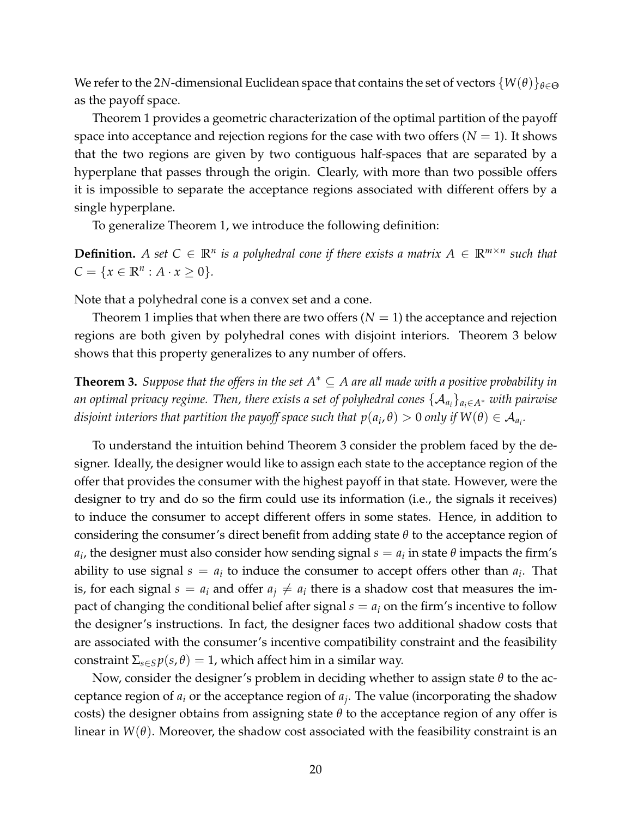We refer to the 2*N*-dimensional Euclidean space that contains the set of vectors  $\{W(\theta)\}_{\theta \in \Theta}$ as the payoff space.

Theorem 1 provides a geometric characterization of the optimal partition of the payoff space into acceptance and rejection regions for the case with two offers  $(N = 1)$ . It shows that the two regions are given by two contiguous half-spaces that are separated by a hyperplane that passes through the origin. Clearly, with more than two possible offers it is impossible to separate the acceptance regions associated with different offers by a single hyperplane.

To generalize Theorem 1, we introduce the following definition:

**Definition.** A set  $C \in \mathbb{R}^n$  is a polyhedral cone if there exists a matrix  $A \in \mathbb{R}^{m \times n}$  such that  $C = \{x \in \mathbb{R}^n : A \cdot x \ge 0\}.$ 

Note that a polyhedral cone is a convex set and a cone.

Theorem 1 implies that when there are two offers  $(N = 1)$  the acceptance and rejection regions are both given by polyhedral cones with disjoint interiors. Theorem 3 below shows that this property generalizes to any number of offers.

**Theorem 3.** *Suppose that the offers in the set*  $A^* \subseteq A$  *are all made with a positive probability in an optimal privacy regime. Then, there exists a set of polyhedral cones* {A*a<sup>i</sup>* }*ai*∈*A*<sup>∗</sup> *with pairwise*  $d$ *isjoint interiors that partition the payoff space such that*  $p(a_i, \theta) > 0$  *only if*  $W(\theta) \in {\cal A}_{a_i}.$ 

To understand the intuition behind Theorem 3 consider the problem faced by the designer. Ideally, the designer would like to assign each state to the acceptance region of the offer that provides the consumer with the highest payoff in that state. However, were the designer to try and do so the firm could use its information (i.e., the signals it receives) to induce the consumer to accept different offers in some states. Hence, in addition to considering the consumer's direct benefit from adding state *θ* to the acceptance region of  $a_i$ , the designer must also consider how sending signal  $s = a_i$  in state  $\theta$  impacts the firm's ability to use signal  $s = a_i$  to induce the consumer to accept offers other than  $a_i$ . That is, for each signal  $s = a_i$  and offer  $a_j \neq a_i$  there is a shadow cost that measures the impact of changing the conditional belief after signal  $s = a_i$  on the firm's incentive to follow the designer's instructions. In fact, the designer faces two additional shadow costs that are associated with the consumer's incentive compatibility constraint and the feasibility constraint  $\Sigma_{s \in S} p(s, \theta) = 1$ , which affect him in a similar way.

Now, consider the designer's problem in deciding whether to assign state *θ* to the acceptance region of *a<sup>i</sup>* or the acceptance region of *a<sup>j</sup>* . The value (incorporating the shadow costs) the designer obtains from assigning state *θ* to the acceptance region of any offer is linear in  $W(\theta)$ . Moreover, the shadow cost associated with the feasibility constraint is an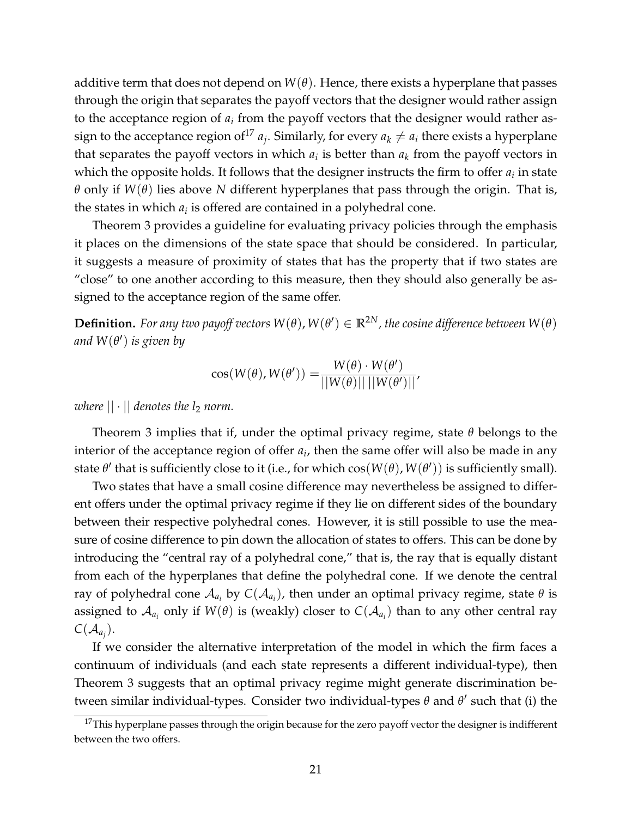additive term that does not depend on  $W(\theta)$ . Hence, there exists a hyperplane that passes through the origin that separates the payoff vectors that the designer would rather assign to the acceptance region of  $a_i$  from the payoff vectors that the designer would rather assign to the acceptance region of  $a_j$ . Similarly, for every  $a_k \neq a_i$  there exists a hyperplane that separates the payoff vectors in which  $a_i$  is better than  $a_k$  from the payoff vectors in which the opposite holds. It follows that the designer instructs the firm to offer  $a_i$  in state *θ* only if *W*(*θ*) lies above *N* different hyperplanes that pass through the origin. That is, the states in which  $a_i$  is offered are contained in a polyhedral cone.

Theorem 3 provides a guideline for evaluating privacy policies through the emphasis it places on the dimensions of the state space that should be considered. In particular, it suggests a measure of proximity of states that has the property that if two states are "close" to one another according to this measure, then they should also generally be assigned to the acceptance region of the same offer.

 $\bf{Definition.}$  *For any two payoff vectors*  $W(\theta)$ *,*  $W(\theta') \in \mathbb{R}^{2N}$ *, the cosine difference between*  $W(\theta)$ *and W*(*θ* 0 ) *is given by*

$$
\cos(W(\theta), W(\theta')) = \frac{W(\theta) \cdot W(\theta')}{||W(\theta)|| \, ||W(\theta')||'}
$$

*where*  $|| \cdot ||$  *denotes the l<sub>2</sub> norm.* 

Theorem 3 implies that if, under the optimal privacy regime, state *θ* belongs to the interior of the acceptance region of offer *a<sup>i</sup>* , then the same offer will also be made in any state  $\theta'$  that is sufficiently close to it (i.e., for which  $\cos(W(\theta), W(\theta'))$  is sufficiently small).

Two states that have a small cosine difference may nevertheless be assigned to different offers under the optimal privacy regime if they lie on different sides of the boundary between their respective polyhedral cones. However, it is still possible to use the measure of cosine difference to pin down the allocation of states to offers. This can be done by introducing the "central ray of a polyhedral cone," that is, the ray that is equally distant from each of the hyperplanes that define the polyhedral cone. If we denote the central ray of polyhedral cone  $\mathcal{A}_{a_i}$  by  $C(\mathcal{A}_{a_i})$ , then under an optimal privacy regime, state  $\theta$  is assigned to  $\mathcal{A}_{a_i}$  only if  $W(\theta)$  is (weakly) closer to  $C(\mathcal{A}_{a_i})$  than to any other central ray  $C(\mathcal{A}_{a_j})$ .

If we consider the alternative interpretation of the model in which the firm faces a continuum of individuals (and each state represents a different individual-type), then Theorem 3 suggests that an optimal privacy regime might generate discrimination between similar individual-types. Consider two individual-types  $\theta$  and  $\theta'$  such that (i) the

 $17$ This hyperplane passes through the origin because for the zero payoff vector the designer is indifferent between the two offers.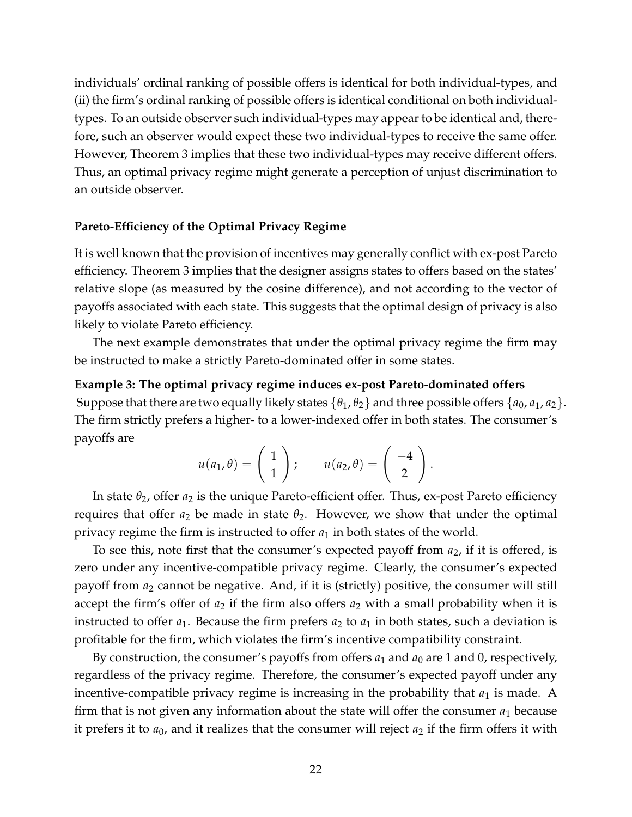individuals' ordinal ranking of possible offers is identical for both individual-types, and (ii) the firm's ordinal ranking of possible offers is identical conditional on both individualtypes. To an outside observer such individual-types may appear to be identical and, therefore, such an observer would expect these two individual-types to receive the same offer. However, Theorem 3 implies that these two individual-types may receive different offers. Thus, an optimal privacy regime might generate a perception of unjust discrimination to an outside observer.

#### **Pareto-Efficiency of the Optimal Privacy Regime**

It is well known that the provision of incentives may generally conflict with ex-post Pareto efficiency. Theorem 3 implies that the designer assigns states to offers based on the states' relative slope (as measured by the cosine difference), and not according to the vector of payoffs associated with each state. This suggests that the optimal design of privacy is also likely to violate Pareto efficiency.

The next example demonstrates that under the optimal privacy regime the firm may be instructed to make a strictly Pareto-dominated offer in some states.

#### **Example 3: The optimal privacy regime induces ex-post Pareto-dominated offers**

Suppose that there are two equally likely states  $\{\theta_1, \theta_2\}$  and three possible offers  $\{a_0, a_1, a_2\}$ . The firm strictly prefers a higher- to a lower-indexed offer in both states. The consumer's payoffs are

$$
u(a_1,\overline{\theta})=\left(\begin{array}{c}1\\1\end{array}\right); \qquad u(a_2,\overline{\theta})=\left(\begin{array}{c}-4\\2\end{array}\right).
$$

In state *θ*2, offer *a*<sup>2</sup> is the unique Pareto-efficient offer. Thus, ex-post Pareto efficiency requires that offer  $a_2$  be made in state  $\theta_2$ . However, we show that under the optimal privacy regime the firm is instructed to offer  $a_1$  in both states of the world.

To see this, note first that the consumer's expected payoff from *a*2, if it is offered, is zero under any incentive-compatible privacy regime. Clearly, the consumer's expected payoff from *a*<sup>2</sup> cannot be negative. And, if it is (strictly) positive, the consumer will still accept the firm's offer of  $a_2$  if the firm also offers  $a_2$  with a small probability when it is instructed to offer  $a_1$ . Because the firm prefers  $a_2$  to  $a_1$  in both states, such a deviation is profitable for the firm, which violates the firm's incentive compatibility constraint.

By construction, the consumer's payoffs from offers  $a_1$  and  $a_0$  are 1 and 0, respectively, regardless of the privacy regime. Therefore, the consumer's expected payoff under any incentive-compatible privacy regime is increasing in the probability that  $a_1$  is made. A firm that is not given any information about the state will offer the consumer  $a_1$  because it prefers it to  $a_0$ , and it realizes that the consumer will reject  $a_2$  if the firm offers it with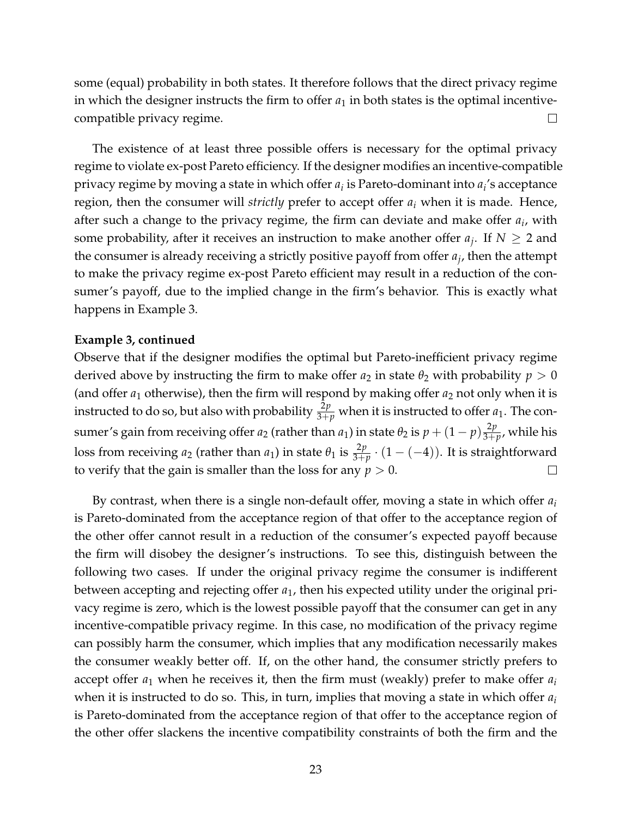some (equal) probability in both states. It therefore follows that the direct privacy regime in which the designer instructs the firm to offer  $a_1$  in both states is the optimal incentivecompatible privacy regime.  $\Box$ 

The existence of at least three possible offers is necessary for the optimal privacy regime to violate ex-post Pareto efficiency. If the designer modifies an incentive-compatible privacy regime by moving a state in which offer *a<sup>i</sup>* is Pareto-dominant into *a<sup>i</sup>* 's acceptance region, then the consumer will *strictly* prefer to accept offer *a<sup>i</sup>* when it is made. Hence, after such a change to the privacy regime, the firm can deviate and make offer *a<sup>i</sup>* , with some probability, after it receives an instruction to make another offer  $a_j$ . If  $N \geq 2$  and the consumer is already receiving a strictly positive payoff from offer  $a_j$ , then the attempt to make the privacy regime ex-post Pareto efficient may result in a reduction of the consumer's payoff, due to the implied change in the firm's behavior. This is exactly what happens in Example 3.

#### **Example 3, continued**

Observe that if the designer modifies the optimal but Pareto-inefficient privacy regime derived above by instructing the firm to make offer  $a_2$  in state  $\theta_2$  with probability  $p > 0$ (and offer  $a_1$  otherwise), then the firm will respond by making offer  $a_2$  not only when it is instructed to do so, but also with probability  $\frac{2p}{3+p}$  when it is instructed to offer  $a_1$ . The consumer's gain from receiving offer  $a_2$  (rather than  $a_1$ ) in state  $\theta_2$  is  $p + (1-p)\frac{2p}{3+r}$  $\frac{2p}{3+p}$ , while his loss from receiving  $a_2$  (rather than  $a_1$ ) in state  $\theta_1$  is  $\frac{2p}{3+p} \cdot (1 - (-4))$ . It is straightforward to verify that the gain is smaller than the loss for any  $p > 0$ .  $\Box$ 

By contrast, when there is a single non-default offer, moving a state in which offer *a<sup>i</sup>* is Pareto-dominated from the acceptance region of that offer to the acceptance region of the other offer cannot result in a reduction of the consumer's expected payoff because the firm will disobey the designer's instructions. To see this, distinguish between the following two cases. If under the original privacy regime the consumer is indifferent between accepting and rejecting offer *a*1, then his expected utility under the original privacy regime is zero, which is the lowest possible payoff that the consumer can get in any incentive-compatible privacy regime. In this case, no modification of the privacy regime can possibly harm the consumer, which implies that any modification necessarily makes the consumer weakly better off. If, on the other hand, the consumer strictly prefers to accept offer *a*<sup>1</sup> when he receives it, then the firm must (weakly) prefer to make offer *a<sup>i</sup>* when it is instructed to do so. This, in turn, implies that moving a state in which offer *a<sup>i</sup>* is Pareto-dominated from the acceptance region of that offer to the acceptance region of the other offer slackens the incentive compatibility constraints of both the firm and the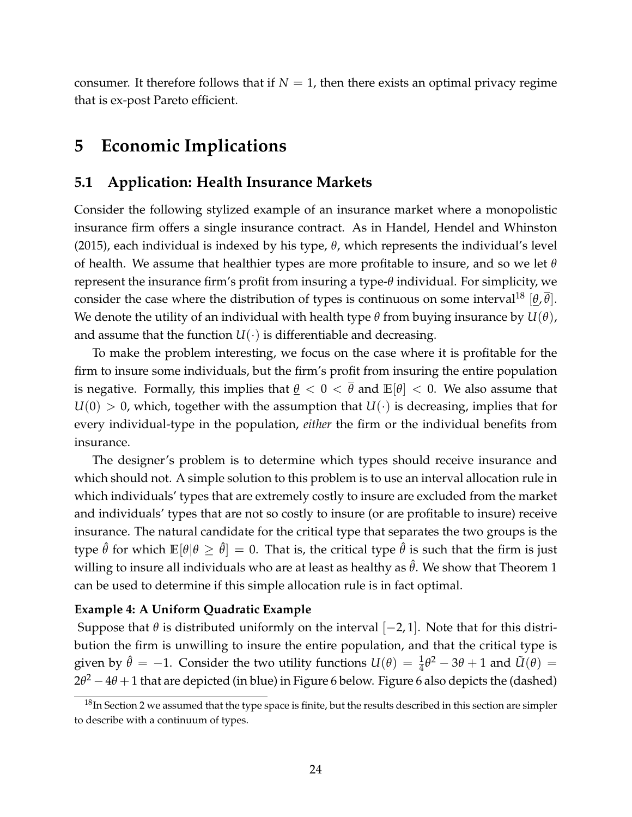consumer. It therefore follows that if  $N = 1$ , then there exists an optimal privacy regime that is ex-post Pareto efficient.

# **5 Economic Implications**

### **5.1 Application: Health Insurance Markets**

Consider the following stylized example of an insurance market where a monopolistic insurance firm offers a single insurance contract. As in Handel, Hendel and Whinston (2015), each individual is indexed by his type, *θ*, which represents the individual's level of health. We assume that healthier types are more profitable to insure, and so we let *θ* represent the insurance firm's profit from insuring a type-*θ* individual. For simplicity, we consider the case where the distribution of types is continuous on some interval<sup>18</sup>  $[\theta, \theta]$ . We denote the utility of an individual with health type  $\theta$  from buying insurance by  $U(\theta)$ , and assume that the function  $U(\cdot)$  is differentiable and decreasing.

To make the problem interesting, we focus on the case where it is profitable for the firm to insure some individuals, but the firm's profit from insuring the entire population is negative. Formally, this implies that  $\theta < 0 < \bar{\theta}$  and  $\mathbb{E}[\theta] < 0$ . We also assume that  $U(0) > 0$ , which, together with the assumption that  $U(\cdot)$  is decreasing, implies that for every individual-type in the population, *either* the firm or the individual benefits from insurance.

The designer's problem is to determine which types should receive insurance and which should not. A simple solution to this problem is to use an interval allocation rule in which individuals' types that are extremely costly to insure are excluded from the market and individuals' types that are not so costly to insure (or are profitable to insure) receive insurance. The natural candidate for the critical type that separates the two groups is the type  $\hat{\theta}$  for which  $\mathbb{E}[\theta|\theta \geq \hat{\theta}] = 0$ . That is, the critical type  $\hat{\theta}$  is such that the firm is just willing to insure all individuals who are at least as healthy as  $\hat{\theta}$ . We show that Theorem 1 can be used to determine if this simple allocation rule is in fact optimal.

#### **Example 4: A Uniform Quadratic Example**

Suppose that  $\theta$  is distributed uniformly on the interval  $[-2, 1]$ . Note that for this distribution the firm is unwilling to insure the entire population, and that the critical type is given by  $\hat{\theta} = -1$ . Consider the two utility functions  $U(\theta) = \frac{1}{4}\theta^2 - 3\theta + 1$  and  $\tilde{U}(\theta) =$ 2*θ* <sup>2</sup> −4*θ* +1 that are depicted (in blue) in Figure 6 below. Figure 6 also depicts the (dashed)

 $18$ In Section 2 we assumed that the type space is finite, but the results described in this section are simpler to describe with a continuum of types.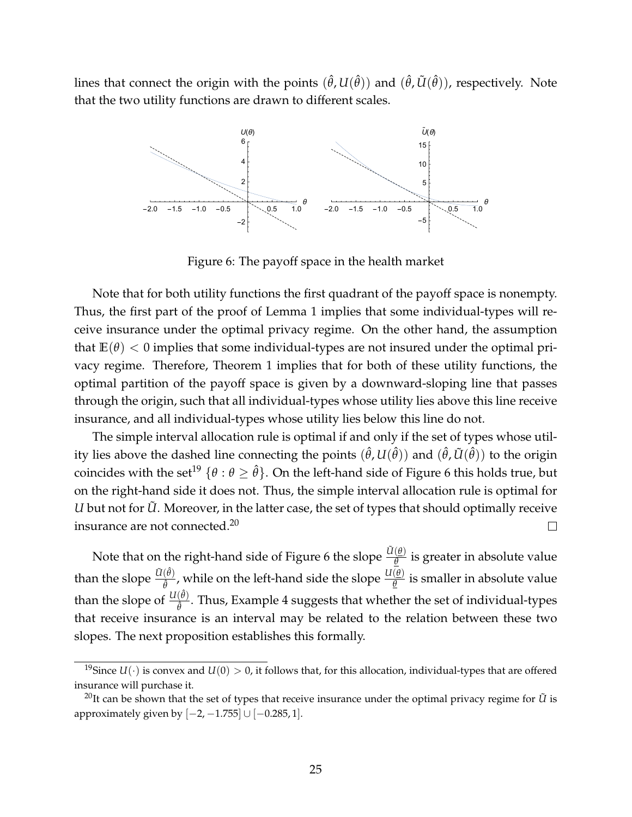lines that connect the origin with the points  $(\hat{\theta}, U(\hat{\theta}))$  and  $(\hat{\theta}, \tilde{U}(\hat{\theta}))$ , respectively. Note that the two utility functions are drawn to different scales.



Figure 6: The payoff space in the health market

Note that for both utility functions the first quadrant of the payoff space is nonempty. Thus, the first part of the proof of Lemma 1 implies that some individual-types will receive insurance under the optimal privacy regime. On the other hand, the assumption that  $E(\theta)$  < 0 implies that some individual-types are not insured under the optimal privacy regime. Therefore, Theorem 1 implies that for both of these utility functions, the optimal partition of the payoff space is given by a downward-sloping line that passes through the origin, such that all individual-types whose utility lies above this line receive insurance, and all individual-types whose utility lies below this line do not.

The simple interval allocation rule is optimal if and only if the set of types whose utility lies above the dashed line connecting the points  $(\hat{\theta},U(\hat{\theta}))$  and  $(\hat{\theta},\tilde{U}(\hat{\theta}))$  to the origin coincides with the set<sup>19</sup>  $\{\theta : \theta \geq \hat{\theta}\}$ . On the left-hand side of Figure 6 this holds true, but on the right-hand side it does not. Thus, the simple interval allocation rule is optimal for *U* but not for *U*. Moreover, in the latter case, the set of types that should optimally receive insurance are not connected.<sup>20</sup>  $\Box$ 

Note that on the right-hand side of Figure 6 the slope  $\frac{\tilde{U}(\theta)}{\theta}$  is greater in absolute value than the slope  $\frac{\tilde{U}(\hat{\theta})}{\hat{\theta}}$  $\frac{(\hat{\theta})}{\hat{\theta}}$ , while on the left-hand side the slope  $\frac{U(\theta)}{\theta}$  is smaller in absolute value than the slope of  $\frac{U(\hat{\theta})}{\hat{\theta}}$ ˆ*θ* . Thus, Example 4 suggests that whether the set of individual-types that receive insurance is an interval may be related to the relation between these two slopes. The next proposition establishes this formally.

<sup>&</sup>lt;sup>19</sup>Since  $U(\cdot)$  is convex and  $U(0) > 0$ , it follows that, for this allocation, individual-types that are offered insurance will purchase it.

<sup>&</sup>lt;sup>20</sup>It can be shown that the set of types that receive insurance under the optimal privacy regime for  $\tilde{U}$  is approximately given by  $[-2, -1.755]$  ∪  $[-0.285, 1]$ .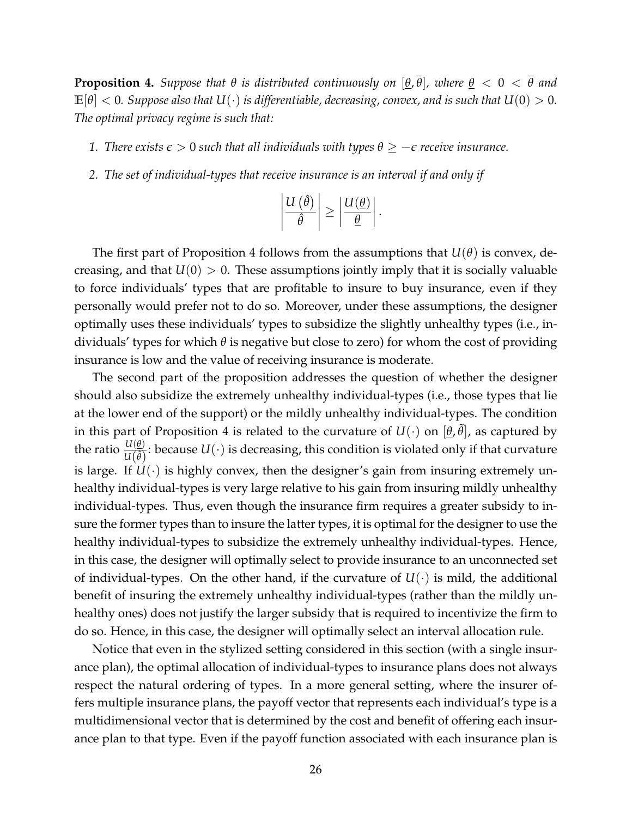**Proposition 4.** Suppose that  $\theta$  is distributed continuously on  $[\theta, \overline{\theta}]$ , where  $\theta < 0 < \overline{\theta}$  and  $\mathbb{E}[\theta] < 0$ . Suppose also that  $U(\cdot)$  is differentiable, decreasing, convex, and is such that  $U(0) > 0$ . *The optimal privacy regime is such that:*

- *1. There exists*  $\epsilon > 0$  *such that all individuals with types*  $\theta \ge -\epsilon$  *receive insurance.*
- *2. The set of individual-types that receive insurance is an interval if and only if*

$$
\left|\frac{U(\hat{\theta})}{\hat{\theta}}\right| \ge \left|\frac{U(\underline{\theta})}{\underline{\theta}}\right|.
$$

The first part of Proposition 4 follows from the assumptions that *U*(*θ*) is convex, decreasing, and that  $U(0) > 0$ . These assumptions jointly imply that it is socially valuable to force individuals' types that are profitable to insure to buy insurance, even if they personally would prefer not to do so. Moreover, under these assumptions, the designer optimally uses these individuals' types to subsidize the slightly unhealthy types (i.e., individuals' types for which *θ* is negative but close to zero) for whom the cost of providing insurance is low and the value of receiving insurance is moderate.

The second part of the proposition addresses the question of whether the designer should also subsidize the extremely unhealthy individual-types (i.e., those types that lie at the lower end of the support) or the mildly unhealthy individual-types. The condition in this part of Proposition 4 is related to the curvature of  $U(\cdot)$  on  $[\underline{\theta},\tilde{\theta}]$ , as captured by the ratio  $\frac{U(\theta)}{U(\hat{\theta})}$ : because  $U(\cdot)$  is decreasing, this condition is violated only if that curvature is large. If  $U(\cdot)$  is highly convex, then the designer's gain from insuring extremely unhealthy individual-types is very large relative to his gain from insuring mildly unhealthy individual-types. Thus, even though the insurance firm requires a greater subsidy to insure the former types than to insure the latter types, it is optimal for the designer to use the healthy individual-types to subsidize the extremely unhealthy individual-types. Hence, in this case, the designer will optimally select to provide insurance to an unconnected set of individual-types. On the other hand, if the curvature of  $U(\cdot)$  is mild, the additional benefit of insuring the extremely unhealthy individual-types (rather than the mildly unhealthy ones) does not justify the larger subsidy that is required to incentivize the firm to do so. Hence, in this case, the designer will optimally select an interval allocation rule.

Notice that even in the stylized setting considered in this section (with a single insurance plan), the optimal allocation of individual-types to insurance plans does not always respect the natural ordering of types. In a more general setting, where the insurer offers multiple insurance plans, the payoff vector that represents each individual's type is a multidimensional vector that is determined by the cost and benefit of offering each insurance plan to that type. Even if the payoff function associated with each insurance plan is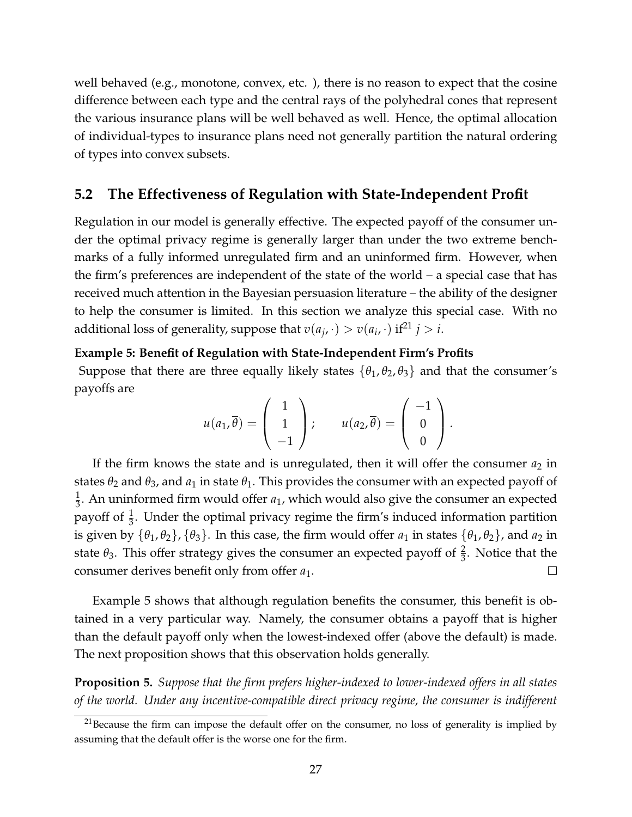well behaved (e.g., monotone, convex, etc. ), there is no reason to expect that the cosine difference between each type and the central rays of the polyhedral cones that represent the various insurance plans will be well behaved as well. Hence, the optimal allocation of individual-types to insurance plans need not generally partition the natural ordering of types into convex subsets.

### **5.2 The Effectiveness of Regulation with State-Independent Profit**

Regulation in our model is generally effective. The expected payoff of the consumer under the optimal privacy regime is generally larger than under the two extreme benchmarks of a fully informed unregulated firm and an uninformed firm. However, when the firm's preferences are independent of the state of the world – a special case that has received much attention in the Bayesian persuasion literature – the ability of the designer to help the consumer is limited. In this section we analyze this special case. With no additional loss of generality, suppose that  $v(a_j, \cdot) > v(a_i, \cdot)$  if<sup>21</sup>  $j > i$ .

#### **Example 5: Benefit of Regulation with State-Independent Firm's Profits**

Suppose that there are three equally likely states  $\{\theta_1, \theta_2, \theta_3\}$  and that the consumer's payoffs are

$$
u(a_1,\overline{\theta})=\left(\begin{array}{c}1\\1\\-1\end{array}\right); \qquad u(a_2,\overline{\theta})=\left(\begin{array}{c}-1\\0\\0\end{array}\right).
$$

If the firm knows the state and is unregulated, then it will offer the consumer  $a_2$  in states  $\theta_2$  and  $\theta_3$ , and  $a_1$  in state  $\theta_1$ . This provides the consumer with an expected payoff of 1  $\frac{1}{3}$ . An uninformed firm would offer  $a_1$ , which would also give the consumer an expected payoff of  $\frac{1}{3}$ . Under the optimal privacy regime the firm's induced information partition is given by  $\{\theta_1, \theta_2\}$ ,  $\{\theta_3\}$ . In this case, the firm would offer  $a_1$  in states  $\{\theta_1, \theta_2\}$ , and  $a_2$  in state  $\theta_3$ . This offer strategy gives the consumer an expected payoff of  $\frac{2}{3}$ . Notice that the consumer derives benefit only from offer *a*1.  $\Box$ 

Example 5 shows that although regulation benefits the consumer, this benefit is obtained in a very particular way. Namely, the consumer obtains a payoff that is higher than the default payoff only when the lowest-indexed offer (above the default) is made. The next proposition shows that this observation holds generally.

**Proposition 5.** *Suppose that the firm prefers higher-indexed to lower-indexed offers in all states of the world. Under any incentive-compatible direct privacy regime, the consumer is indifferent*

 $21$ Because the firm can impose the default offer on the consumer, no loss of generality is implied by assuming that the default offer is the worse one for the firm.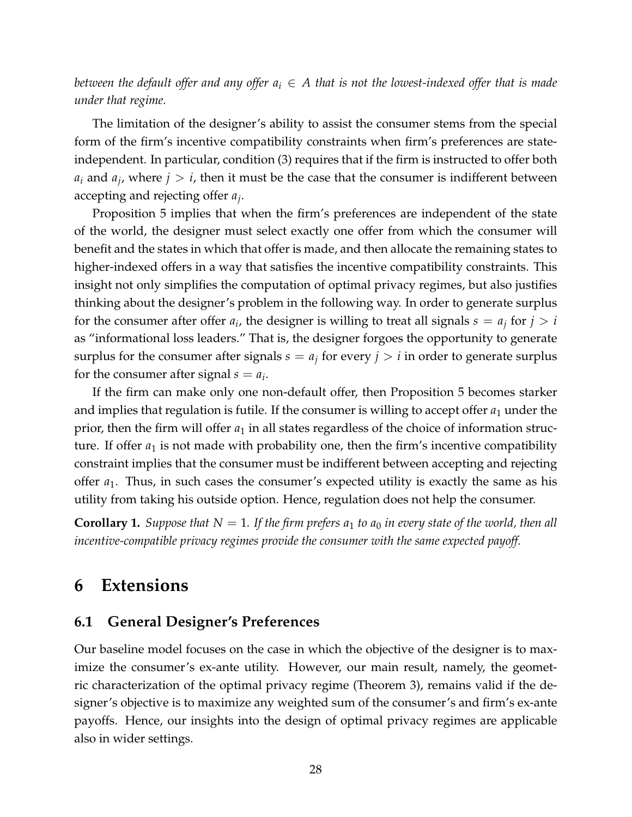*between the default offer and any offer*  $a_i \in A$  *that is not the lowest-indexed offer that is made under that regime.*

The limitation of the designer's ability to assist the consumer stems from the special form of the firm's incentive compatibility constraints when firm's preferences are stateindependent. In particular, condition (3) requires that if the firm is instructed to offer both  $a_i$  and  $a_j$ , where  $j > i$ , then it must be the case that the consumer is indifferent between accepting and rejecting offer *a<sup>j</sup>* .

Proposition 5 implies that when the firm's preferences are independent of the state of the world, the designer must select exactly one offer from which the consumer will benefit and the states in which that offer is made, and then allocate the remaining states to higher-indexed offers in a way that satisfies the incentive compatibility constraints. This insight not only simplifies the computation of optimal privacy regimes, but also justifies thinking about the designer's problem in the following way. In order to generate surplus for the consumer after offer  $a_i$ , the designer is willing to treat all signals  $s = a_j$  for  $j > i$ as "informational loss leaders." That is, the designer forgoes the opportunity to generate surplus for the consumer after signals  $s = a_j$  for every  $j > i$  in order to generate surplus for the consumer after signal  $s = a_i$ .

If the firm can make only one non-default offer, then Proposition 5 becomes starker and implies that regulation is futile. If the consumer is willing to accept offer  $a_1$  under the prior, then the firm will offer  $a_1$  in all states regardless of the choice of information structure. If offer  $a_1$  is not made with probability one, then the firm's incentive compatibility constraint implies that the consumer must be indifferent between accepting and rejecting offer *a*1. Thus, in such cases the consumer's expected utility is exactly the same as his utility from taking his outside option. Hence, regulation does not help the consumer.

**Corollary 1.** *Suppose that*  $N = 1$ *. If the firm prefers*  $a_1$  *to*  $a_0$  *in every state of the world, then all incentive-compatible privacy regimes provide the consumer with the same expected payoff.*

### **6 Extensions**

### **6.1 General Designer's Preferences**

Our baseline model focuses on the case in which the objective of the designer is to maximize the consumer's ex-ante utility. However, our main result, namely, the geometric characterization of the optimal privacy regime (Theorem 3), remains valid if the designer's objective is to maximize any weighted sum of the consumer's and firm's ex-ante payoffs. Hence, our insights into the design of optimal privacy regimes are applicable also in wider settings.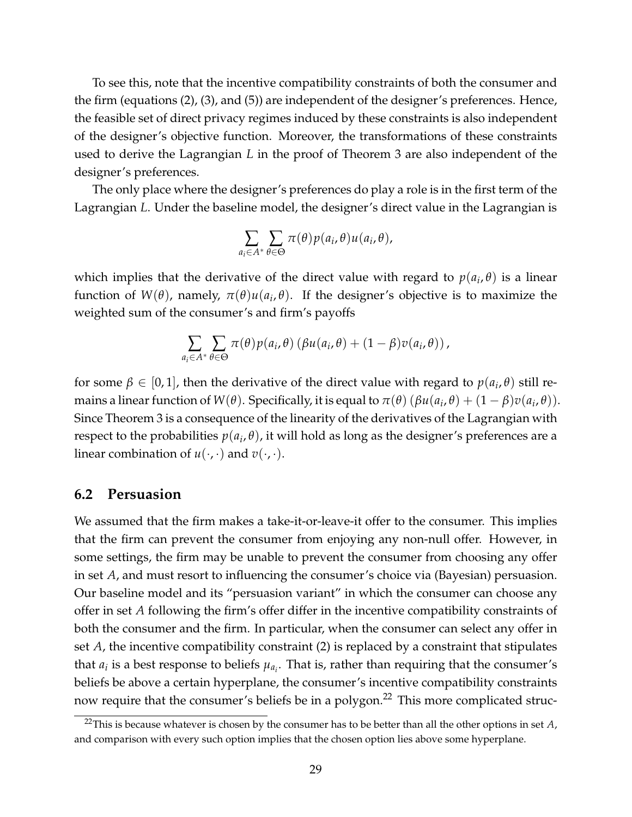To see this, note that the incentive compatibility constraints of both the consumer and the firm (equations (2), (3), and (5)) are independent of the designer's preferences. Hence, the feasible set of direct privacy regimes induced by these constraints is also independent of the designer's objective function. Moreover, the transformations of these constraints used to derive the Lagrangian *L* in the proof of Theorem 3 are also independent of the designer's preferences.

The only place where the designer's preferences do play a role is in the first term of the Lagrangian *L*. Under the baseline model, the designer's direct value in the Lagrangian is

$$
\sum_{a_i \in A^*} \sum_{\theta \in \Theta} \pi(\theta) p(a_i, \theta) u(a_i, \theta),
$$

which implies that the derivative of the direct value with regard to  $p(a_i, \theta)$  is a linear function of *W*(*θ*), namely, *π*(*θ*)*u*(*a<sup>i</sup>* , *θ*). If the designer's objective is to maximize the weighted sum of the consumer's and firm's payoffs

$$
\sum_{a_i \in A^*} \sum_{\theta \in \Theta} \pi(\theta) p(a_i, \theta) (\beta u(a_i, \theta) + (1 - \beta) v(a_i, \theta)),
$$

for some  $\beta \in [0,1]$ , then the derivative of the direct value with regard to  $p(a_i, \theta)$  still remains a linear function of  $W(\theta)$ . Specifically, it is equal to  $\pi(\theta)$  ( $\beta u(a_i, \theta) + (1 - \beta)v(a_i, \theta)$ ). Since Theorem 3 is a consequence of the linearity of the derivatives of the Lagrangian with respect to the probabilities  $p(a_i, \theta)$ , it will hold as long as the designer's preferences are a linear combination of  $u(\cdot, \cdot)$  and  $v(\cdot, \cdot)$ .

#### **6.2 Persuasion**

We assumed that the firm makes a take-it-or-leave-it offer to the consumer. This implies that the firm can prevent the consumer from enjoying any non-null offer. However, in some settings, the firm may be unable to prevent the consumer from choosing any offer in set *A*, and must resort to influencing the consumer's choice via (Bayesian) persuasion. Our baseline model and its "persuasion variant" in which the consumer can choose any offer in set *A* following the firm's offer differ in the incentive compatibility constraints of both the consumer and the firm. In particular, when the consumer can select any offer in set *A*, the incentive compatibility constraint (2) is replaced by a constraint that stipulates that  $a_i$  is a best response to beliefs  $\mu_{a_i}.$  That is, rather than requiring that the consumer's beliefs be above a certain hyperplane, the consumer's incentive compatibility constraints now require that the consumer's beliefs be in a polygon.<sup>22</sup> This more complicated struc-

<sup>&</sup>lt;sup>22</sup>This is because whatever is chosen by the consumer has to be better than all the other options in set  $A$ , and comparison with every such option implies that the chosen option lies above some hyperplane.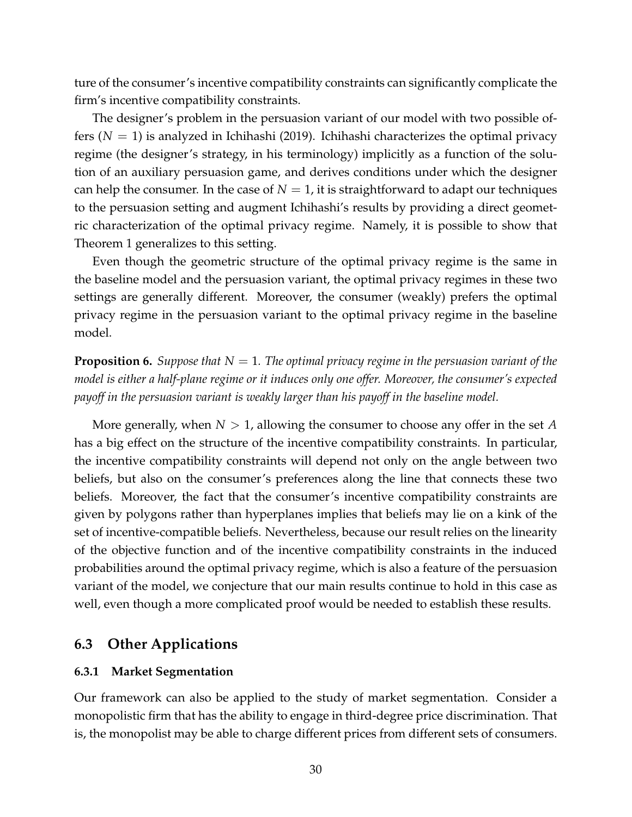ture of the consumer's incentive compatibility constraints can significantly complicate the firm's incentive compatibility constraints.

The designer's problem in the persuasion variant of our model with two possible offers  $(N = 1)$  is analyzed in Ichihashi (2019). Ichihashi characterizes the optimal privacy regime (the designer's strategy, in his terminology) implicitly as a function of the solution of an auxiliary persuasion game, and derives conditions under which the designer can help the consumer. In the case of  $N = 1$ , it is straightforward to adapt our techniques to the persuasion setting and augment Ichihashi's results by providing a direct geometric characterization of the optimal privacy regime. Namely, it is possible to show that Theorem 1 generalizes to this setting.

Even though the geometric structure of the optimal privacy regime is the same in the baseline model and the persuasion variant, the optimal privacy regimes in these two settings are generally different. Moreover, the consumer (weakly) prefers the optimal privacy regime in the persuasion variant to the optimal privacy regime in the baseline model.

**Proposition 6.** *Suppose that N* = 1*. The optimal privacy regime in the persuasion variant of the model is either a half-plane regime or it induces only one offer. Moreover, the consumer's expected payoff in the persuasion variant is weakly larger than his payoff in the baseline model.*

More generally, when *N* > 1, allowing the consumer to choose any offer in the set *A* has a big effect on the structure of the incentive compatibility constraints. In particular, the incentive compatibility constraints will depend not only on the angle between two beliefs, but also on the consumer's preferences along the line that connects these two beliefs. Moreover, the fact that the consumer's incentive compatibility constraints are given by polygons rather than hyperplanes implies that beliefs may lie on a kink of the set of incentive-compatible beliefs. Nevertheless, because our result relies on the linearity of the objective function and of the incentive compatibility constraints in the induced probabilities around the optimal privacy regime, which is also a feature of the persuasion variant of the model, we conjecture that our main results continue to hold in this case as well, even though a more complicated proof would be needed to establish these results.

### **6.3 Other Applications**

### **6.3.1 Market Segmentation**

Our framework can also be applied to the study of market segmentation. Consider a monopolistic firm that has the ability to engage in third-degree price discrimination. That is, the monopolist may be able to charge different prices from different sets of consumers.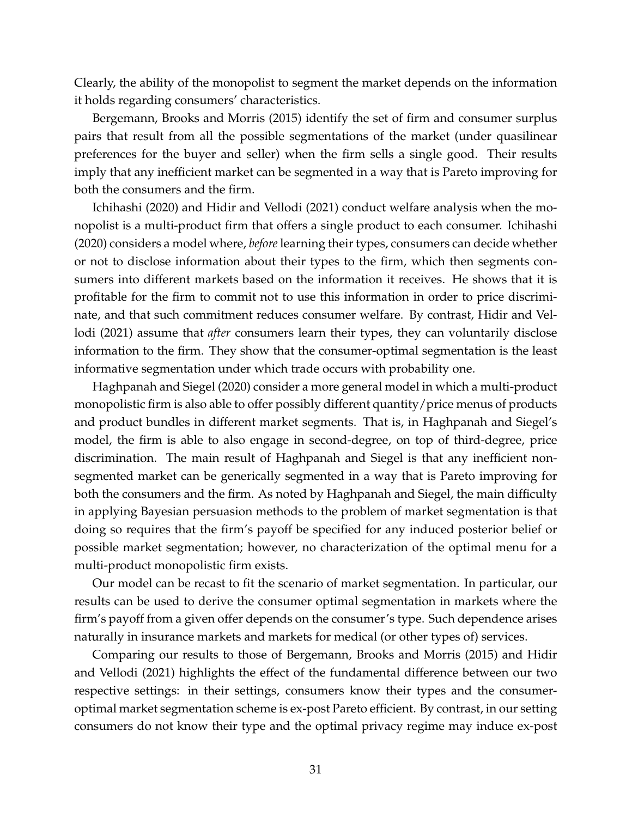Clearly, the ability of the monopolist to segment the market depends on the information it holds regarding consumers' characteristics.

Bergemann, Brooks and Morris (2015) identify the set of firm and consumer surplus pairs that result from all the possible segmentations of the market (under quasilinear preferences for the buyer and seller) when the firm sells a single good. Their results imply that any inefficient market can be segmented in a way that is Pareto improving for both the consumers and the firm.

Ichihashi (2020) and Hidir and Vellodi (2021) conduct welfare analysis when the monopolist is a multi-product firm that offers a single product to each consumer. Ichihashi (2020) considers a model where, *before*learning their types, consumers can decide whether or not to disclose information about their types to the firm, which then segments consumers into different markets based on the information it receives. He shows that it is profitable for the firm to commit not to use this information in order to price discriminate, and that such commitment reduces consumer welfare. By contrast, Hidir and Vellodi (2021) assume that *after* consumers learn their types, they can voluntarily disclose information to the firm. They show that the consumer-optimal segmentation is the least informative segmentation under which trade occurs with probability one.

Haghpanah and Siegel (2020) consider a more general model in which a multi-product monopolistic firm is also able to offer possibly different quantity/price menus of products and product bundles in different market segments. That is, in Haghpanah and Siegel's model, the firm is able to also engage in second-degree, on top of third-degree, price discrimination. The main result of Haghpanah and Siegel is that any inefficient nonsegmented market can be generically segmented in a way that is Pareto improving for both the consumers and the firm. As noted by Haghpanah and Siegel, the main difficulty in applying Bayesian persuasion methods to the problem of market segmentation is that doing so requires that the firm's payoff be specified for any induced posterior belief or possible market segmentation; however, no characterization of the optimal menu for a multi-product monopolistic firm exists.

Our model can be recast to fit the scenario of market segmentation. In particular, our results can be used to derive the consumer optimal segmentation in markets where the firm's payoff from a given offer depends on the consumer's type. Such dependence arises naturally in insurance markets and markets for medical (or other types of) services.

Comparing our results to those of Bergemann, Brooks and Morris (2015) and Hidir and Vellodi (2021) highlights the effect of the fundamental difference between our two respective settings: in their settings, consumers know their types and the consumeroptimal market segmentation scheme is ex-post Pareto efficient. By contrast, in our setting consumers do not know their type and the optimal privacy regime may induce ex-post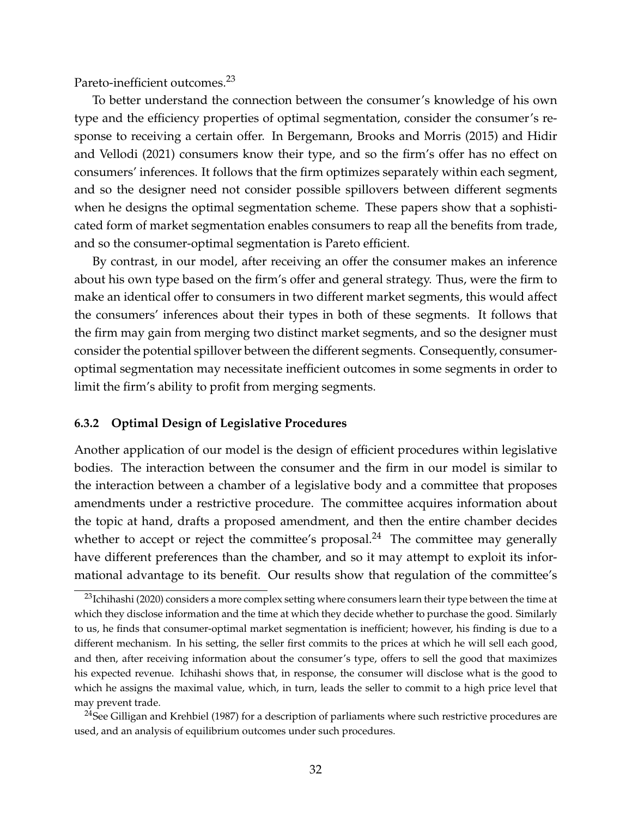Pareto-inefficient outcomes.<sup>23</sup>

To better understand the connection between the consumer's knowledge of his own type and the efficiency properties of optimal segmentation, consider the consumer's response to receiving a certain offer. In Bergemann, Brooks and Morris (2015) and Hidir and Vellodi (2021) consumers know their type, and so the firm's offer has no effect on consumers' inferences. It follows that the firm optimizes separately within each segment, and so the designer need not consider possible spillovers between different segments when he designs the optimal segmentation scheme. These papers show that a sophisticated form of market segmentation enables consumers to reap all the benefits from trade, and so the consumer-optimal segmentation is Pareto efficient.

By contrast, in our model, after receiving an offer the consumer makes an inference about his own type based on the firm's offer and general strategy. Thus, were the firm to make an identical offer to consumers in two different market segments, this would affect the consumers' inferences about their types in both of these segments. It follows that the firm may gain from merging two distinct market segments, and so the designer must consider the potential spillover between the different segments. Consequently, consumeroptimal segmentation may necessitate inefficient outcomes in some segments in order to limit the firm's ability to profit from merging segments.

### **6.3.2 Optimal Design of Legislative Procedures**

Another application of our model is the design of efficient procedures within legislative bodies. The interaction between the consumer and the firm in our model is similar to the interaction between a chamber of a legislative body and a committee that proposes amendments under a restrictive procedure. The committee acquires information about the topic at hand, drafts a proposed amendment, and then the entire chamber decides whether to accept or reject the committee's proposal.<sup>24</sup> The committee may generally have different preferences than the chamber, and so it may attempt to exploit its informational advantage to its benefit. Our results show that regulation of the committee's

<sup>&</sup>lt;sup>23</sup>Ichihashi (2020) considers a more complex setting where consumers learn their type between the time at which they disclose information and the time at which they decide whether to purchase the good. Similarly to us, he finds that consumer-optimal market segmentation is inefficient; however, his finding is due to a different mechanism. In his setting, the seller first commits to the prices at which he will sell each good, and then, after receiving information about the consumer's type, offers to sell the good that maximizes his expected revenue. Ichihashi shows that, in response, the consumer will disclose what is the good to which he assigns the maximal value, which, in turn, leads the seller to commit to a high price level that may prevent trade.

<sup>&</sup>lt;sup>24</sup>See Gilligan and Krehbiel (1987) for a description of parliaments where such restrictive procedures are used, and an analysis of equilibrium outcomes under such procedures.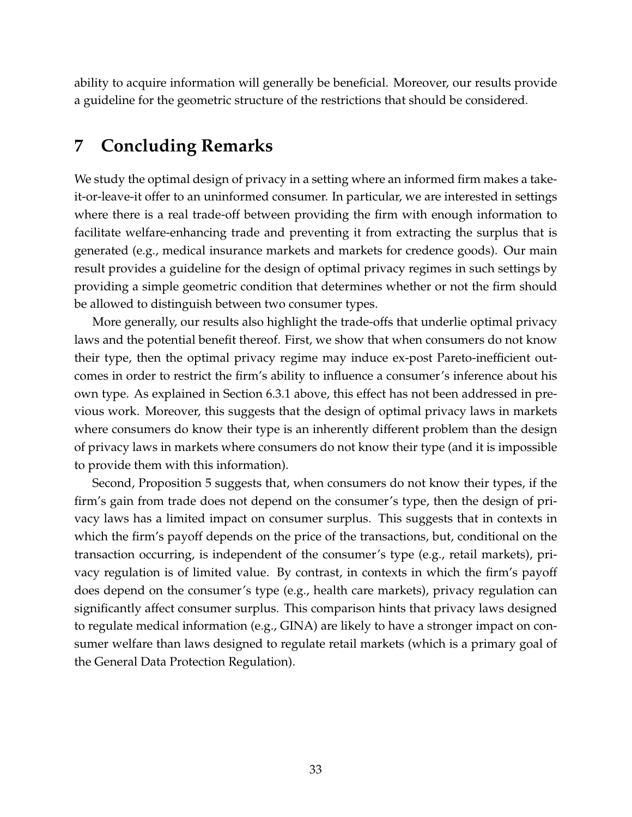ability to acquire information will generally be beneficial. Moreover, our results provide a guideline for the geometric structure of the restrictions that should be considered.

# **7 Concluding Remarks**

We study the optimal design of privacy in a setting where an informed firm makes a takeit-or-leave-it offer to an uninformed consumer. In particular, we are interested in settings where there is a real trade-off between providing the firm with enough information to facilitate welfare-enhancing trade and preventing it from extracting the surplus that is generated (e.g., medical insurance markets and markets for credence goods). Our main result provides a guideline for the design of optimal privacy regimes in such settings by providing a simple geometric condition that determines whether or not the firm should be allowed to distinguish between two consumer types.

More generally, our results also highlight the trade-offs that underlie optimal privacy laws and the potential benefit thereof. First, we show that when consumers do not know their type, then the optimal privacy regime may induce ex-post Pareto-inefficient outcomes in order to restrict the firm's ability to influence a consumer's inference about his own type. As explained in Section 6.3.1 above, this effect has not been addressed in previous work. Moreover, this suggests that the design of optimal privacy laws in markets where consumers do know their type is an inherently different problem than the design of privacy laws in markets where consumers do not know their type (and it is impossible to provide them with this information).

Second, Proposition 5 suggests that, when consumers do not know their types, if the firm's gain from trade does not depend on the consumer's type, then the design of privacy laws has a limited impact on consumer surplus. This suggests that in contexts in which the firm's payoff depends on the price of the transactions, but, conditional on the transaction occurring, is independent of the consumer's type (e.g., retail markets), privacy regulation is of limited value. By contrast, in contexts in which the firm's payoff does depend on the consumer's type (e.g., health care markets), privacy regulation can significantly affect consumer surplus. This comparison hints that privacy laws designed to regulate medical information (e.g., GINA) are likely to have a stronger impact on consumer welfare than laws designed to regulate retail markets (which is a primary goal of the General Data Protection Regulation).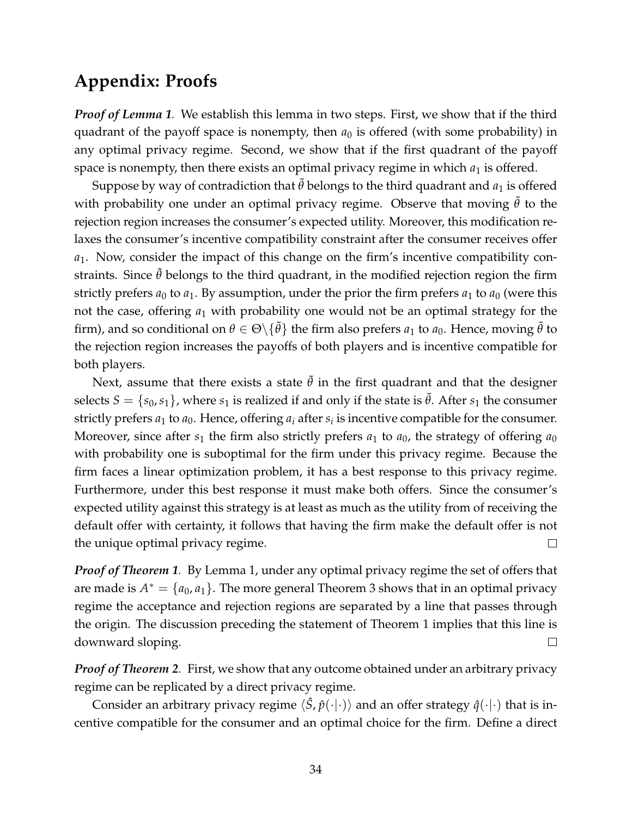# **Appendix: Proofs**

*Proof of Lemma 1.* We establish this lemma in two steps. First, we show that if the third quadrant of the payoff space is nonempty, then  $a_0$  is offered (with some probability) in any optimal privacy regime. Second, we show that if the first quadrant of the payoff space is nonempty, then there exists an optimal privacy regime in which  $a_1$  is offered.

Suppose by way of contradiction that  $\tilde{\theta}$  belongs to the third quadrant and  $a_1$  is offered with probability one under an optimal privacy regime. Observe that moving  $\tilde{\theta}$  to the rejection region increases the consumer's expected utility. Moreover, this modification relaxes the consumer's incentive compatibility constraint after the consumer receives offer *a*1. Now, consider the impact of this change on the firm's incentive compatibility constraints. Since  $\tilde{\theta}$  belongs to the third quadrant, in the modified rejection region the firm strictly prefers  $a_0$  to  $a_1$ . By assumption, under the prior the firm prefers  $a_1$  to  $a_0$  (were this not the case, offering  $a_1$  with probability one would not be an optimal strategy for the firm), and so conditional on  $\theta \in \Theta \setminus \{ \tilde{\theta} \}$  the firm also prefers  $a_1$  to  $a_0$ . Hence, moving  $\tilde{\theta}$  to the rejection region increases the payoffs of both players and is incentive compatible for both players.

Next, assume that there exists a state  $\tilde{\theta}$  in the first quadrant and that the designer selects  $S = \{s_0, s_1\}$ , where  $s_1$  is realized if and only if the state is  $\theta$ . After  $s_1$  the consumer strictly prefers  $a_1$  to  $a_0$ . Hence, offering  $a_i$  after  $s_i$  is incentive compatible for the consumer. Moreover, since after  $s_1$  the firm also strictly prefers  $a_1$  to  $a_0$ , the strategy of offering  $a_0$ with probability one is suboptimal for the firm under this privacy regime. Because the firm faces a linear optimization problem, it has a best response to this privacy regime. Furthermore, under this best response it must make both offers. Since the consumer's expected utility against this strategy is at least as much as the utility from of receiving the default offer with certainty, it follows that having the firm make the default offer is not the unique optimal privacy regime.  $\Box$ 

*Proof of Theorem 1.* By Lemma 1, under any optimal privacy regime the set of offers that are made is  $A^* = \{a_0, a_1\}$ . The more general Theorem 3 shows that in an optimal privacy regime the acceptance and rejection regions are separated by a line that passes through the origin. The discussion preceding the statement of Theorem 1 implies that this line is downward sloping.  $\Box$ 

*Proof of Theorem 2.* First, we show that any outcome obtained under an arbitrary privacy regime can be replicated by a direct privacy regime.

Consider an arbitrary privacy regime  $\langle \hat{S}, \hat{p}(\cdot | \cdot) \rangle$  and an offer strategy  $\hat{q}(\cdot | \cdot)$  that is incentive compatible for the consumer and an optimal choice for the firm. Define a direct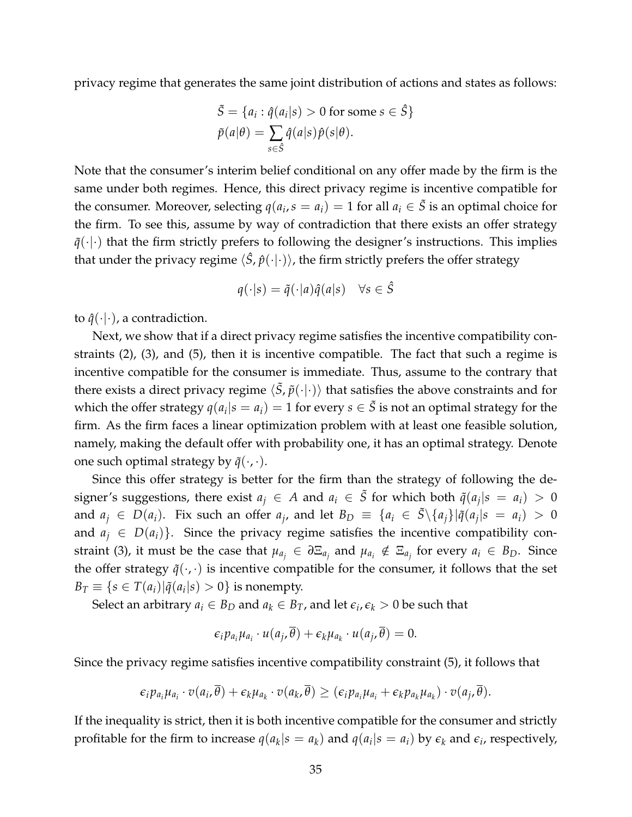privacy regime that generates the same joint distribution of actions and states as follows:

$$
\tilde{S} = \{a_i : \hat{q}(a_i|s) > 0 \text{ for some } s \in \hat{S}\}
$$

$$
\tilde{p}(a|\theta) = \sum_{s \in \hat{S}} \hat{q}(a|s)\hat{p}(s|\theta).
$$

Note that the consumer's interim belief conditional on any offer made by the firm is the same under both regimes. Hence, this direct privacy regime is incentive compatible for the consumer. Moreover, selecting  $q(a_i, s = a_i) = 1$  for all  $a_i \in \tilde{S}$  is an optimal choice for the firm. To see this, assume by way of contradiction that there exists an offer strategy  $\tilde{q}(\cdot|\cdot)$  that the firm strictly prefers to following the designer's instructions. This implies that under the privacy regime  $\langle \hat{S}, \hat{p}(\cdot | \cdot) \rangle$ , the firm strictly prefers the offer strategy

$$
q(\cdot|s) = \tilde{q}(\cdot|a)\hat{q}(a|s) \quad \forall s \in \hat{S}
$$

to  $\hat{q}(\cdot|\cdot)$ , a contradiction.

Next, we show that if a direct privacy regime satisfies the incentive compatibility constraints (2), (3), and (5), then it is incentive compatible. The fact that such a regime is incentive compatible for the consumer is immediate. Thus, assume to the contrary that there exists a direct privacy regime  $\langle \tilde{S}, \tilde{p}(\cdot | \cdot) \rangle$  that satisfies the above constraints and for which the offer strategy  $q(a_i|s=a_i)=1$  for every  $s\in\tilde{S}$  is not an optimal strategy for the firm. As the firm faces a linear optimization problem with at least one feasible solution, namely, making the default offer with probability one, it has an optimal strategy. Denote one such optimal strategy by  $\tilde{q}(\cdot,\cdot)$ .

Since this offer strategy is better for the firm than the strategy of following the designer's suggestions, there exist  $a_j \in A$  and  $a_i \in \tilde{S}$  for which both  $\tilde{q}(a_j|s = a_i) > 0$ and  $a_j \in D(a_i)$ . Fix such an offer  $a_j$ , and let  $B_D \equiv \{a_i \in \tilde{S} \setminus \{a_j\} | \tilde{q}(a_j|s = a_i) > 0\}$ and  $a_i \in D(a_i)$ . Since the privacy regime satisfies the incentive compatibility constraint (3), it must be the case that  $\mu_{a_j} \in \partial \Xi_{a_j}$  and  $\mu_{a_i} \notin \Xi_{a_j}$  for every  $a_i \in B_D$ . Since the offer strategy  $\tilde{q}(\cdot,\cdot)$  is incentive compatible for the consumer, it follows that the set  $B_T \equiv \{ s \in T(a_i) | \tilde{q}(a_i|s) > 0 \}$  is nonempty.

Select an arbitrary  $a_i \in B_D$  and  $a_k \in B_T$ , and let  $\epsilon_i$ ,  $\epsilon_k > 0$  be such that

$$
\epsilon_i p_{a_i} \mu_{a_i} \cdot u(a_j, \overline{\theta}) + \epsilon_k \mu_{a_k} \cdot u(a_j, \overline{\theta}) = 0.
$$

Since the privacy regime satisfies incentive compatibility constraint (5), it follows that

$$
\epsilon_i p_{a_i} \mu_{a_i} \cdot v(a_i, \theta) + \epsilon_k \mu_{a_k} \cdot v(a_k, \theta) \geq (\epsilon_i p_{a_i} \mu_{a_i} + \epsilon_k p_{a_k} \mu_{a_k}) \cdot v(a_j, \theta).
$$

If the inequality is strict, then it is both incentive compatible for the consumer and strictly profitable for the firm to increase  $q(a_k|s = a_k)$  and  $q(a_i|s = a_i)$  by  $\epsilon_k$  and  $\epsilon_i$ , respectively,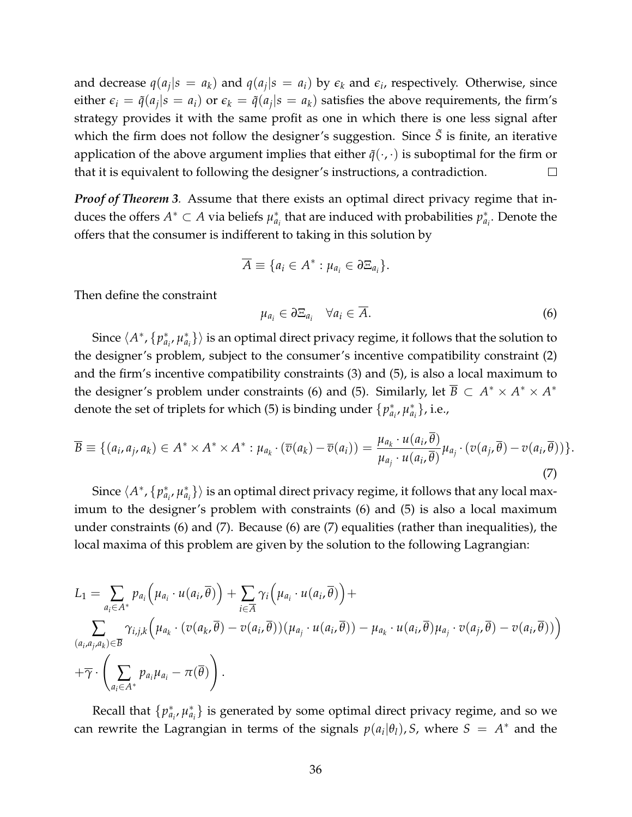and decrease  $q(a_j|s = a_k)$  and  $q(a_j|s = a_i)$  by  $\epsilon_k$  and  $\epsilon_i$ , respectively. Otherwise, since either  $\epsilon_i = \tilde{q}(a_j|s = a_i)$  or  $\epsilon_k = \tilde{q}(a_j|s = a_k)$  satisfies the above requirements, the firm's strategy provides it with the same profit as one in which there is one less signal after which the firm does not follow the designer's suggestion. Since  $\tilde{S}$  is finite, an iterative application of the above argument implies that either  $\tilde{q}(\cdot,\cdot)$  is suboptimal for the firm or that it is equivalent to following the designer's instructions, a contradiction.  $\Box$ 

*Proof of Theorem 3.* Assume that there exists an optimal direct privacy regime that induces the offers  $A^* \subset A$  via beliefs  $\mu_a^*$ *ai* that are induced with probabilities *p* ∗ *ai* . Denote the offers that the consumer is indifferent to taking in this solution by

$$
\overline{A} \equiv \{a_i \in A^* : \mu_{a_i} \in \partial \Xi_{a_i}\}.
$$

Then define the constraint

$$
\mu_{a_i} \in \partial \Xi_{a_i} \quad \forall a_i \in \overline{A}.\tag{6}
$$

Since  $\langle A^*, \{p_a^*\}\rangle$ *ai* , *µ* ∗  $\left\{a_i\right\}\rangle$  is an optimal direct privacy regime, it follows that the solution to the designer's problem, subject to the consumer's incentive compatibility constraint (2) and the firm's incentive compatibility constraints (3) and (5), is also a local maximum to the designer's problem under constraints (6) and (5). Similarly, let  $\overline{B} \subset A^* \times A^* \times A^*$ denote the set of triplets for which (5) is binding under {*p*<sup>\*</sup><sub>*a*</sub><sup>*n*</sup></sup> *ai* , *µ* ∗  $_{a_{i}}^{*}$ }, i.e.,

$$
\overline{B} \equiv \{ (a_i, a_j, a_k) \in A^* \times A^* \times A^* : \mu_{a_k} \cdot (\overline{v}(a_k) - \overline{v}(a_i)) = \frac{\mu_{a_k} \cdot u(a_i, \overline{\theta})}{\mu_{a_j} \cdot u(a_i, \overline{\theta})} \mu_{a_j} \cdot (v(a_j, \overline{\theta}) - v(a_i, \overline{\theta})) \}.
$$
\n(7)

Since  $\langle A^*, \{p_a^*\}\rangle$ *ai* , *µ* ∗  $\left\{a_i\right\}\rangle$  is an optimal direct privacy regime, it follows that any local maximum to the designer's problem with constraints (6) and (5) is also a local maximum under constraints (6) and (7). Because (6) are (7) equalities (rather than inequalities), the local maxima of this problem are given by the solution to the following Lagrangian:

$$
L_{1} = \sum_{a_{i} \in A^{*}} p_{a_{i}} (\mu_{a_{i}} \cdot u(a_{i}, \overline{\theta})) + \sum_{i \in \overline{A}} \gamma_{i} (\mu_{a_{i}} \cdot u(a_{i}, \overline{\theta})) +
$$
  

$$
\sum_{(a_{i}, a_{j}, a_{k}) \in \overline{B}} \gamma_{i,j,k} (\mu_{a_{k}} \cdot (v(a_{k}, \overline{\theta}) - v(a_{i}, \overline{\theta})) (\mu_{a_{j}} \cdot u(a_{i}, \overline{\theta})) - \mu_{a_{k}} \cdot u(a_{i}, \overline{\theta}) \mu_{a_{j}} \cdot v(a_{j}, \overline{\theta}) - v(a_{i}, \overline{\theta}))
$$
  

$$
+ \overline{\gamma} \cdot \left( \sum_{a_{i} \in A^{*}} p_{a_{i}} \mu_{a_{i}} - \pi(\overline{\theta}) \right).
$$

Recall that {*p* ∗ *ai* , *µ* ∗  $_{a_i}^*$ } is generated by some optimal direct privacy regime, and so we can rewrite the Lagrangian in terms of the signals  $p(a_i|\theta_i)$ , *S*, where  $S = A^*$  and the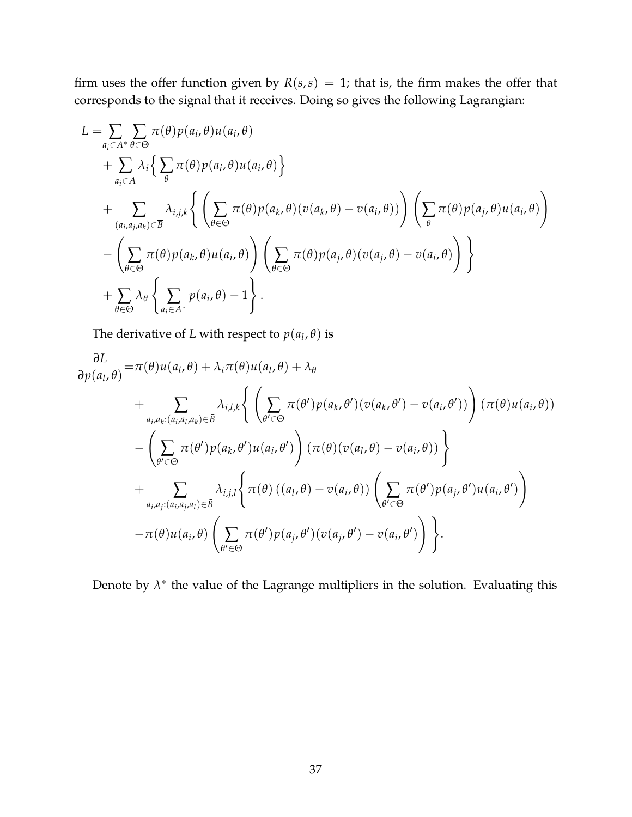firm uses the offer function given by  $R(s, s) = 1$ ; that is, the firm makes the offer that corresponds to the signal that it receives. Doing so gives the following Lagrangian:

$$
L = \sum_{a_i \in A^*} \sum_{\theta \in \Theta} \pi(\theta) p(a_i, \theta) u(a_i, \theta)
$$
  
+ 
$$
\sum_{a_i \in \overline{A}} \lambda_i \Big\{ \sum_{\theta} \pi(\theta) p(a_i, \theta) u(a_i, \theta) \Big\}
$$
  
+ 
$$
\sum_{(a_i, a_j, a_k) \in \overline{B}} \lambda_{i,j,k} \Big\{ \Big( \sum_{\theta \in \Theta} \pi(\theta) p(a_k, \theta) (v(a_k, \theta) - v(a_i, \theta)) \Big) \Big( \sum_{\theta} \pi(\theta) p(a_j, \theta) u(a_i, \theta) \Big)
$$
  
- 
$$
\Big( \sum_{\theta \in \Theta} \pi(\theta) p(a_k, \theta) u(a_i, \theta) \Big) \Big( \sum_{\theta \in \Theta} \pi(\theta) p(a_j, \theta) (v(a_j, \theta) - v(a_i, \theta) \Big) \Big\}
$$
  
+ 
$$
\sum_{\theta \in \Theta} \lambda_{\theta} \Big\{ \sum_{a_i \in A^*} p(a_i, \theta) - 1 \Big\}.
$$

The derivative of *L* with respect to  $p(a_l, \theta)$  is

$$
\frac{\partial L}{\partial p(a_l, \theta)} = \pi(\theta)u(a_l, \theta) + \lambda_i \pi(\theta)u(a_l, \theta) + \lambda_{\theta}
$$
\n
$$
+ \sum_{a_i, a_k: (a_i, a_l, a_k) \in \mathcal{B}} \lambda_{i,l,k} \left\{ \left( \sum_{\theta' \in \Theta} \pi(\theta') p(a_k, \theta') (v(a_k, \theta') - v(a_i, \theta')) \right) (\pi(\theta)u(a_i, \theta))
$$
\n
$$
- \left( \sum_{\theta' \in \Theta} \pi(\theta') p(a_k, \theta') u(a_i, \theta') \right) (\pi(\theta) (v(a_l, \theta) - v(a_i, \theta)) )
$$
\n
$$
+ \sum_{a_i, a_j: (a_i, a_j, a_l) \in \mathcal{B}} \lambda_{i,j,l} \left\{ \pi(\theta) ((a_l, \theta) - v(a_i, \theta)) \left( \sum_{\theta' \in \Theta} \pi(\theta') p(a_j, \theta') u(a_i, \theta') \right) \right.
$$

Denote by  $\lambda^*$  the value of the Lagrange multipliers in the solution. Evaluating this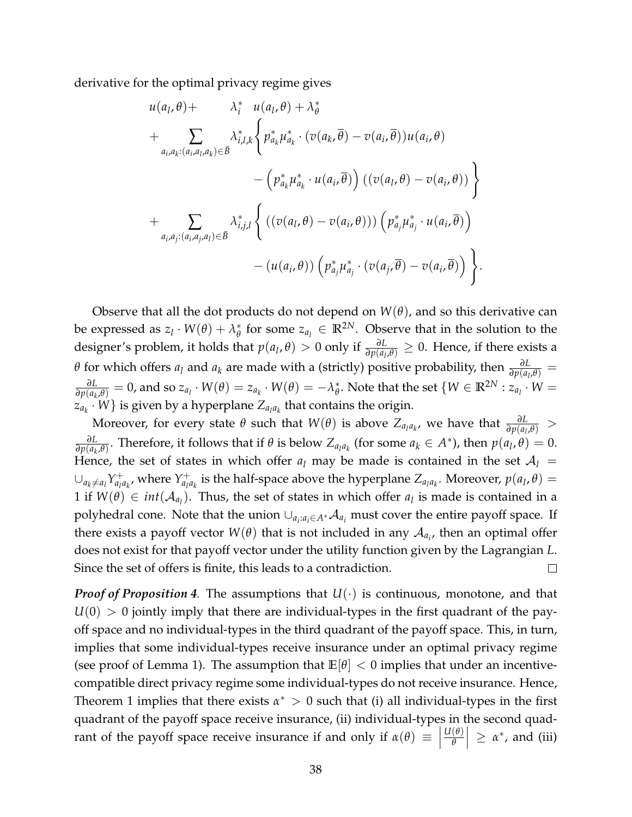derivative for the optimal privacy regime gives

$$
u(a_l, \theta) + \lambda_i^* u(a_l, \theta) + \lambda_{\theta}^*
$$
  
+ 
$$
\sum_{a_i, a_k: (a_i, a_l, a_k) \in \overline{B}} \lambda_{i,l,k}^* \left\{ p_{a_k}^* \mu_{a_k}^* \cdot (v(a_k, \overline{\theta}) - v(a_i, \overline{\theta})) u(a_i, \theta) - (p_{a_k}^* \mu_{a_k}^* \cdot u(a_i, \overline{\theta})) ((v(a_l, \theta) - v(a_i, \theta))) \right\}
$$
  
+ 
$$
\sum_{a_i, a_j: (a_i, a_j, a_l) \in \overline{B}} \lambda_{i,j,l}^* \left\{ ((v(a_l, \theta) - v(a_i, \theta))) (p_{a_j}^* \mu_{a_j}^* \cdot u(a_i, \overline{\theta})) - (u(a_i, \theta)) (p_{a_j}^* \mu_{a_j}^* \cdot (v(a_j, \overline{\theta}) - v(a_i, \overline{\theta})) ) \right\}.
$$

Observe that all the dot products do not depend on  $W(\theta)$ , and so this derivative can be expressed as  $z_l \cdot W(\theta) + \lambda_{\theta}^*$  $\theta_{\theta}^*$  for some  $z_{a_l} \in \mathbb{R}^{2N}$ . Observe that in the solution to the designer's problem, it holds that  $p(a_l, \theta) > 0$  only if  $\frac{\partial L}{\partial p(a_l, \theta)} \ge 0$ . Hence, if there exists a *θ* for which offers *a*<sub>*l*</sub> and *a*<sub>*k*</sub> are made with a (strictly) positive probability, then  $\frac{\partial L}{\partial p(a_l, \theta)} =$ *∂L*  $\frac{\partial L}{\partial p(a_k,\theta)} = 0$ , and so  $z_{a_l} \cdot W(\theta) = z_{a_k} \cdot W(\theta) = -\lambda_{\theta}^*$  $\phi^*$ . Note that the set  $\{W \in \mathbb{R}^{2N} : z_{a_l} \cdot W = \phi^* \}$  $\{z_{a_k} \cdot W\}$  is given by a hyperplane  $Z_{a_l a_k}$  that contains the origin.

Moreover, for every state  $\theta$  such that  $W(\theta)$  is above  $Z_{a_l a_k}$ , we have that  $\frac{\partial L}{\partial p(a_l,\theta)}$  >  $\frac{\partial L}{\partial p(a_k, \theta)}$ . Therefore, it follows that if  $\theta$  is below  $Z_{a_l a_k}$  (for some  $a_k \in A^*$ ), then  $p(a_l, \theta) = 0$ . *∂L* Hence, the set of states in which offer  $a_l$  may be made is contained in the set  $A_l$  =  $∪_{a_k \neq a_l} Y^+_{a_l}$  $a_{l}$ <sup> $a_{k}$ </sup>, where  $Y_{a_{l}l}^{+}$  $Z^+_{a_l a_k}$  is the half-space above the hyperplane  $Z_{a_l a_k}$ . Moreover,  $p(a_l, \theta) =$ 1 if  $W(\theta) \in int(\mathcal{A}_{a_l})$ . Thus, the set of states in which offer  $a_l$  is made is contained in a polyhedral cone. Note that the union  $\cup_{a_i:a_i\in A^*}\mathcal{A}_{a_i}$  must cover the entire payoff space. If there exists a payoff vector  $W(\theta)$  that is not included in any  $\mathcal{A}_{a_i}$ , then an optimal offer does not exist for that payoff vector under the utility function given by the Lagrangian *L*. Since the set of offers is finite, this leads to a contradiction.  $\Box$ 

*Proof of Proposition 4.* The assumptions that  $U(\cdot)$  is continuous, monotone, and that  $U(0) > 0$  jointly imply that there are individual-types in the first quadrant of the payoff space and no individual-types in the third quadrant of the payoff space. This, in turn, implies that some individual-types receive insurance under an optimal privacy regime (see proof of Lemma 1). The assumption that  $\mathbb{E}[\theta] < 0$  implies that under an incentivecompatible direct privacy regime some individual-types do not receive insurance. Hence, Theorem 1 implies that there exists  $\alpha^* > 0$  such that (i) all individual-types in the first quadrant of the payoff space receive insurance, (ii) individual-types in the second quadrant of the payoff space receive insurance if and only if  $\alpha(\theta) \equiv$ *U*(*θ*) *θ*  $\vert \geq \alpha^*$ , and (iii)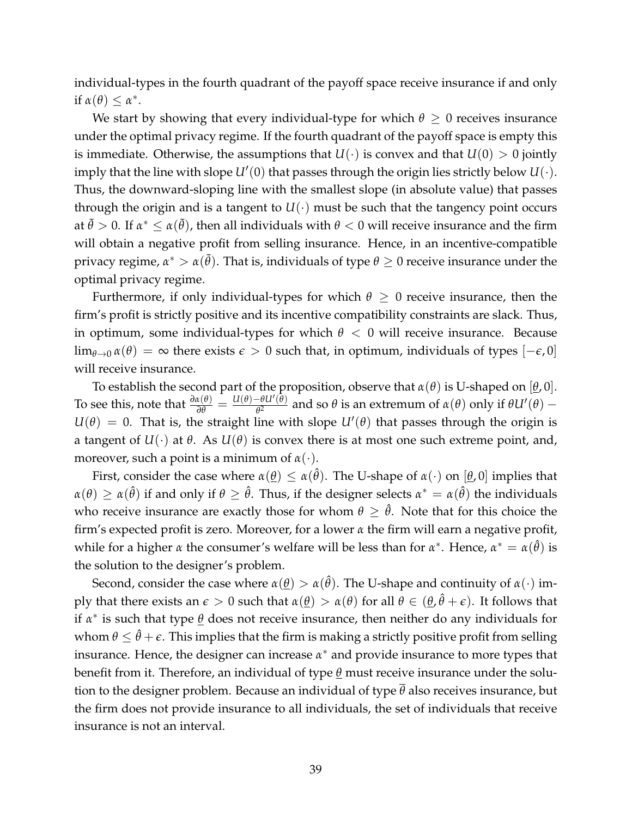individual-types in the fourth quadrant of the payoff space receive insurance if and only if  $\alpha(\theta) \leq \alpha^*$ .

We start by showing that every individual-type for which  $\theta \geq 0$  receives insurance under the optimal privacy regime. If the fourth quadrant of the payoff space is empty this is immediate. Otherwise, the assumptions that  $U(\cdot)$  is convex and that  $U(0) > 0$  jointly imply that the line with slope  $U'(0)$  that passes through the origin lies strictly below  $U(\cdot)$ . Thus, the downward-sloping line with the smallest slope (in absolute value) that passes through the origin and is a tangent to  $U(\cdot)$  must be such that the tangency point occurs at  $\tilde\theta>0.$  If  $\alpha^*\le\alpha(\tilde\theta)$ , then all individuals with  $\theta< 0$  will receive insurance and the firm will obtain a negative profit from selling insurance. Hence, in an incentive-compatible privacy regime,  $\alpha^* > \alpha(\tilde{\theta})$ . That is, individuals of type  $\theta \geq 0$  receive insurance under the optimal privacy regime.

Furthermore, if only individual-types for which  $\theta \geq 0$  receive insurance, then the firm's profit is strictly positive and its incentive compatibility constraints are slack. Thus, in optimum, some individual-types for which  $\theta < 0$  will receive insurance. Because  $\lim_{\theta\to 0} \alpha(\theta) = \infty$  there exists  $\epsilon > 0$  such that, in optimum, individuals of types  $[-\epsilon, 0]$ will receive insurance.

To establish the second part of the proposition, observe that  $\alpha(\theta)$  is U-shaped on  $[\theta, 0]$ . To see this, note that  $\frac{\partial \alpha(\theta)}{\partial \theta} = \frac{U(\theta) - \theta U'(\theta)}{\theta^2}$  $\frac{\partial H}{\partial \theta}$  and so *θ* is an extremum of *α*(*θ*) only if  $\theta U'(\theta)$  –  $U(\theta) = 0$ . That is, the straight line with slope  $U'(\theta)$  that passes through the origin is a tangent of  $U(\cdot)$  at  $\theta$ . As  $U(\theta)$  is convex there is at most one such extreme point, and, moreover, such a point is a minimum of  $\alpha(\cdot)$ .

First, consider the case where  $\alpha(\underline{\theta}) \leq \alpha(\hat{\theta})$ . The U-shape of  $\alpha(\cdot)$  on  $[\underline{\theta},0]$  implies that  $\alpha(\theta) \geq \alpha(\hat{\theta})$  if and only if  $\theta \geq \hat{\theta}$ . Thus, if the designer selects  $\alpha^* = \alpha(\hat{\theta})$  the individuals who receive insurance are exactly those for whom  $\theta \geq \hat{\theta}$ . Note that for this choice the firm's expected profit is zero. Moreover, for a lower *α* the firm will earn a negative profit, while for a higher  $\alpha$  the consumer's welfare will be less than for  $\alpha^*$ . Hence,  $\alpha^* = \alpha(\hat{\theta})$  is the solution to the designer's problem.

Second, consider the case where  $\alpha(\underline{\theta}) > \alpha(\hat{\theta})$ . The U-shape and continuity of  $\alpha(\cdot)$  imply that there exists an  $\epsilon > 0$  such that  $\alpha(\underline{\theta}) > \alpha(\theta)$  for all  $\theta \in (\underline{\theta}, \hat{\theta} + \epsilon)$ . It follows that if *α* ∗ is such that type *θ* does not receive insurance, then neither do any individuals for whom  $\theta \leq \hat{\theta} + \epsilon$ . This implies that the firm is making a strictly positive profit from selling insurance. Hence, the designer can increase  $\alpha^*$  and provide insurance to more types that benefit from it. Therefore, an individual of type *θ* must receive insurance under the solution to the designer problem. Because an individual of type *θ* also receives insurance, but the firm does not provide insurance to all individuals, the set of individuals that receive insurance is not an interval.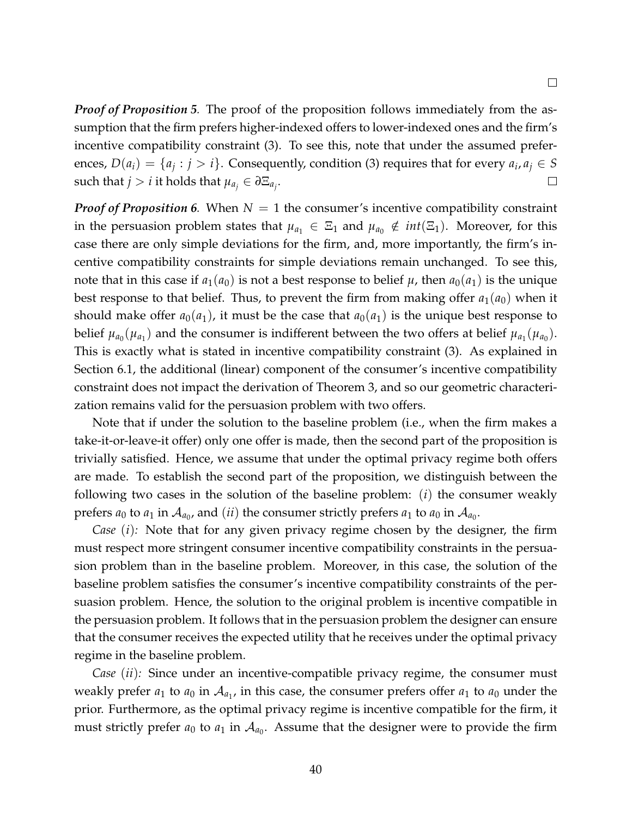*Proof of Proposition 5.* The proof of the proposition follows immediately from the assumption that the firm prefers higher-indexed offers to lower-indexed ones and the firm's incentive compatibility constraint (3). To see this, note that under the assumed preferences,  $D(a_i) = \{a_j : j > i\}$ . Consequently, condition (3) requires that for every  $a_i, a_j \in S$ such that  $j > i$  it holds that  $\mu_{a_j} \in \partial \Xi_{a_j}$ .  $\Box$ 

*Proof of Proposition 6.* When *N* = 1 the consumer's incentive compatibility constraint in the persuasion problem states that  $\mu_{a_1} \in \Xi_1$  and  $\mu_{a_0} \notin int(\Xi_1)$ . Moreover, for this case there are only simple deviations for the firm, and, more importantly, the firm's incentive compatibility constraints for simple deviations remain unchanged. To see this, note that in this case if  $a_1(a_0)$  is not a best response to belief  $\mu$ , then  $a_0(a_1)$  is the unique best response to that belief. Thus, to prevent the firm from making offer  $a_1(a_0)$  when it should make offer  $a_0(a_1)$ , it must be the case that  $a_0(a_1)$  is the unique best response to belief  $\mu_{a_0}(\mu_{a_1})$  and the consumer is indifferent between the two offers at belief  $\mu_{a_1}(\mu_{a_0})$ . This is exactly what is stated in incentive compatibility constraint (3). As explained in Section 6.1, the additional (linear) component of the consumer's incentive compatibility constraint does not impact the derivation of Theorem 3, and so our geometric characterization remains valid for the persuasion problem with two offers.

Note that if under the solution to the baseline problem (i.e., when the firm makes a take-it-or-leave-it offer) only one offer is made, then the second part of the proposition is trivially satisfied. Hence, we assume that under the optimal privacy regime both offers are made. To establish the second part of the proposition, we distinguish between the following two cases in the solution of the baseline problem: (*i*) the consumer weakly prefers  $a_0$  to  $a_1$  in  $\mathcal{A}_{a_0}$ , and  $(ii)$  the consumer strictly prefers  $a_1$  to  $a_0$  in  $\mathcal{A}_{a_0}$ .

*Case* (*i*)*:* Note that for any given privacy regime chosen by the designer, the firm must respect more stringent consumer incentive compatibility constraints in the persuasion problem than in the baseline problem. Moreover, in this case, the solution of the baseline problem satisfies the consumer's incentive compatibility constraints of the persuasion problem. Hence, the solution to the original problem is incentive compatible in the persuasion problem. It follows that in the persuasion problem the designer can ensure that the consumer receives the expected utility that he receives under the optimal privacy regime in the baseline problem.

*Case* (*ii*)*:* Since under an incentive-compatible privacy regime, the consumer must weakly prefer  $a_1$  to  $a_0$  in  $\mathcal{A}_{a_1}$ , in this case, the consumer prefers offer  $a_1$  to  $a_0$  under the prior. Furthermore, as the optimal privacy regime is incentive compatible for the firm, it must strictly prefer  $a_0$  to  $a_1$  in  $\mathcal{A}_{a_0}$ . Assume that the designer were to provide the firm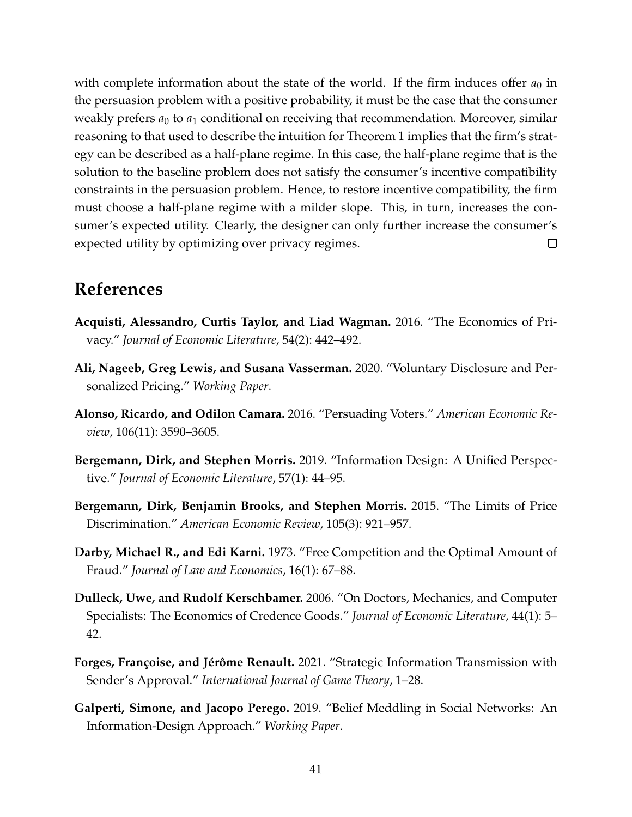with complete information about the state of the world. If the firm induces offer  $a_0$  in the persuasion problem with a positive probability, it must be the case that the consumer weakly prefers  $a_0$  to  $a_1$  conditional on receiving that recommendation. Moreover, similar reasoning to that used to describe the intuition for Theorem 1 implies that the firm's strategy can be described as a half-plane regime. In this case, the half-plane regime that is the solution to the baseline problem does not satisfy the consumer's incentive compatibility constraints in the persuasion problem. Hence, to restore incentive compatibility, the firm must choose a half-plane regime with a milder slope. This, in turn, increases the consumer's expected utility. Clearly, the designer can only further increase the consumer's expected utility by optimizing over privacy regimes.  $\Box$ 

# **References**

- **Acquisti, Alessandro, Curtis Taylor, and Liad Wagman.** 2016. "The Economics of Privacy." *Journal of Economic Literature*, 54(2): 442–492.
- **Ali, Nageeb, Greg Lewis, and Susana Vasserman.** 2020. "Voluntary Disclosure and Personalized Pricing." *Working Paper*.
- **Alonso, Ricardo, and Odilon Camara.** 2016. "Persuading Voters." *American Economic Review*, 106(11): 3590–3605.
- **Bergemann, Dirk, and Stephen Morris.** 2019. "Information Design: A Unified Perspective." *Journal of Economic Literature*, 57(1): 44–95.
- **Bergemann, Dirk, Benjamin Brooks, and Stephen Morris.** 2015. "The Limits of Price Discrimination." *American Economic Review*, 105(3): 921–957.
- **Darby, Michael R., and Edi Karni.** 1973. "Free Competition and the Optimal Amount of Fraud." *Journal of Law and Economics*, 16(1): 67–88.
- **Dulleck, Uwe, and Rudolf Kerschbamer.** 2006. "On Doctors, Mechanics, and Computer Specialists: The Economics of Credence Goods." *Journal of Economic Literature*, 44(1): 5– 42.
- Forges, Françoise, and Jérôme Renault. 2021. "Strategic Information Transmission with Sender's Approval." *International Journal of Game Theory*, 1–28.
- **Galperti, Simone, and Jacopo Perego.** 2019. "Belief Meddling in Social Networks: An Information-Design Approach." *Working Paper*.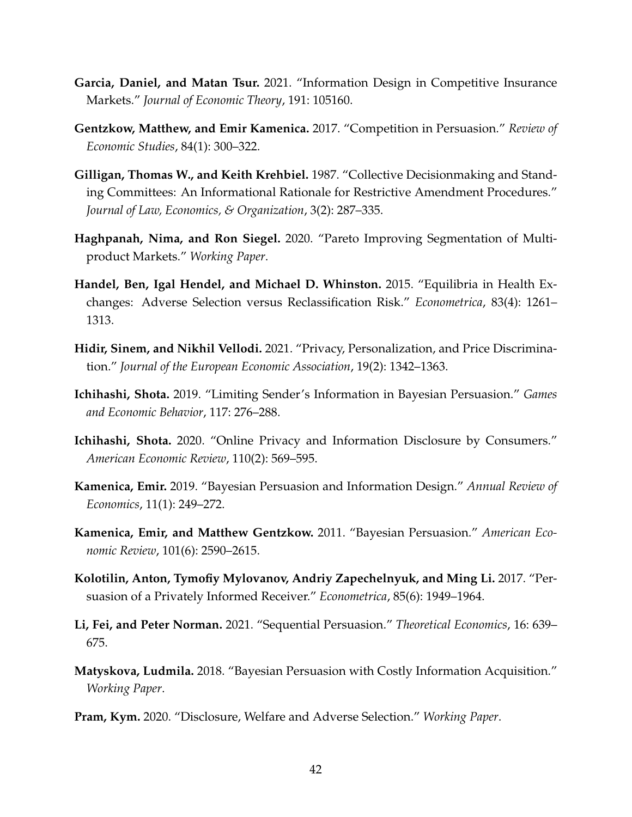- **Garcia, Daniel, and Matan Tsur.** 2021. "Information Design in Competitive Insurance Markets." *Journal of Economic Theory*, 191: 105160.
- **Gentzkow, Matthew, and Emir Kamenica.** 2017. "Competition in Persuasion." *Review of Economic Studies*, 84(1): 300–322.
- **Gilligan, Thomas W., and Keith Krehbiel.** 1987. "Collective Decisionmaking and Standing Committees: An Informational Rationale for Restrictive Amendment Procedures." *Journal of Law, Economics, & Organization*, 3(2): 287–335.
- **Haghpanah, Nima, and Ron Siegel.** 2020. "Pareto Improving Segmentation of Multiproduct Markets." *Working Paper*.
- **Handel, Ben, Igal Hendel, and Michael D. Whinston.** 2015. "Equilibria in Health Exchanges: Adverse Selection versus Reclassification Risk." *Econometrica*, 83(4): 1261– 1313.
- **Hidir, Sinem, and Nikhil Vellodi.** 2021. "Privacy, Personalization, and Price Discrimination." *Journal of the European Economic Association*, 19(2): 1342–1363.
- **Ichihashi, Shota.** 2019. "Limiting Sender's Information in Bayesian Persuasion." *Games and Economic Behavior*, 117: 276–288.
- **Ichihashi, Shota.** 2020. "Online Privacy and Information Disclosure by Consumers." *American Economic Review*, 110(2): 569–595.
- **Kamenica, Emir.** 2019. "Bayesian Persuasion and Information Design." *Annual Review of Economics*, 11(1): 249–272.
- **Kamenica, Emir, and Matthew Gentzkow.** 2011. "Bayesian Persuasion." *American Economic Review*, 101(6): 2590–2615.
- **Kolotilin, Anton, Tymofiy Mylovanov, Andriy Zapechelnyuk, and Ming Li.** 2017. "Persuasion of a Privately Informed Receiver." *Econometrica*, 85(6): 1949–1964.
- **Li, Fei, and Peter Norman.** 2021. "Sequential Persuasion." *Theoretical Economics*, 16: 639– 675.
- **Matyskova, Ludmila.** 2018. "Bayesian Persuasion with Costly Information Acquisition." *Working Paper*.
- **Pram, Kym.** 2020. "Disclosure, Welfare and Adverse Selection." *Working Paper*.